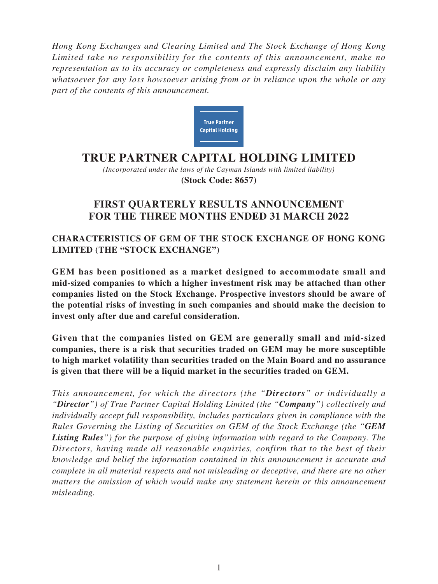*Hong Kong Exchanges and Clearing Limited and The Stock Exchange of Hong Kong Limited take no responsibility for the contents of this announcement, make no representation as to its accuracy or completeness and expressly disclaim any liability whatsoever for any loss howsoever arising from or in reliance upon the whole or any part of the contents of this announcement.*



# **TRUE PARTNER CAPITAL HOLDING LIMITED**

*(Incorporated under the laws of the Cayman Islands with limited liability)* **(Stock Code: 8657)**

# **FIRST QUARTERLY RESULTS ANNOUNCEMENT FOR THE THREE MONTHS ENDED 31 MARCH 2022**

# **CHARACTERISTICS OF GEM OF THE STOCK EXCHANGE OF HONG KONG LIMITED (THE "STOCK EXCHANGE")**

**GEM has been positioned as a market designed to accommodate small and mid-sized companies to which a higher investment risk may be attached than other companies listed on the Stock Exchange. Prospective investors should be aware of the potential risks of investing in such companies and should make the decision to invest only after due and careful consideration.**

**Given that the companies listed on GEM are generally small and mid-sized companies, there is a risk that securities traded on GEM may be more susceptible to high market volatility than securities traded on the Main Board and no assurance is given that there will be a liquid market in the securities traded on GEM.**

*This announcement, for which the directors (the "Directors" or individually a "Director") of True Partner Capital Holding Limited (the "Company") collectively and individually accept full responsibility, includes particulars given in compliance with the Rules Governing the Listing of Securities on GEM of the Stock Exchange (the "GEM Listing Rules") for the purpose of giving information with regard to the Company. The Directors, having made all reasonable enquiries, confirm that to the best of their knowledge and belief the information contained in this announcement is accurate and complete in all material respects and not misleading or deceptive, and there are no other matters the omission of which would make any statement herein or this announcement misleading.*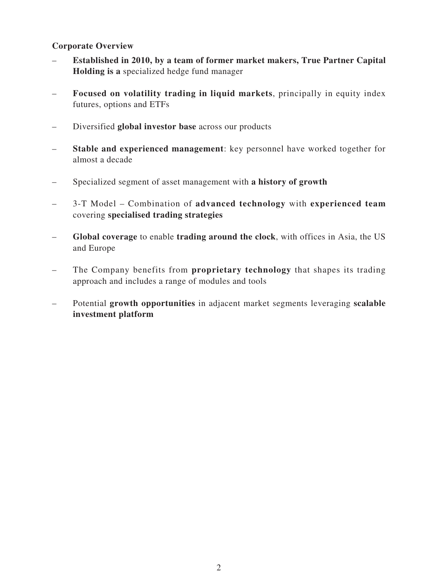### **Corporate Overview**

- **Established in 2010, by a team of former market makers, True Partner Capital Holding is a** specialized hedge fund manager
- **Focused on volatility trading in liquid markets**, principally in equity index futures, options and ETFs
- Diversified **global investor base** across our products
- **Stable and experienced management**: key personnel have worked together for almost a decade
- Specialized segment of asset management with **a history of growth**
- 3-T Model Combination of **advanced technology** with **experienced team**  covering **specialised trading strategies**
- **Global coverage** to enable **trading around the clock**, with offices in Asia, the US and Europe
- The Company benefits from **proprietary technology** that shapes its trading approach and includes a range of modules and tools
- Potential **growth opportunities** in adjacent market segments leveraging **scalable investment platform**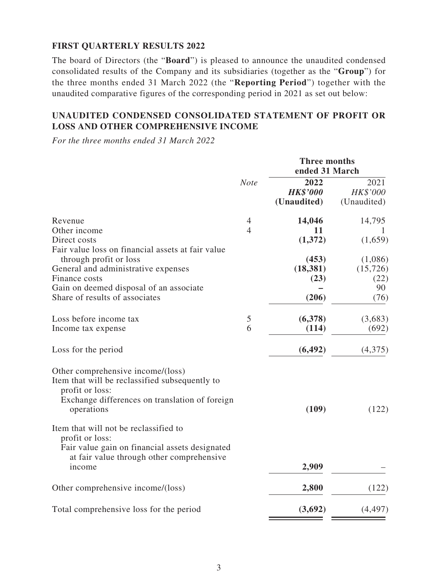### **FIRST QUARTERLY RESULTS 2022**

The board of Directors (the "**Board**") is pleased to announce the unaudited condensed consolidated results of the Company and its subsidiaries (together as the "**Group**") for the three months ended 31 March 2022 (the "**Reporting Period**") together with the unaudited comparative figures of the corresponding period in 2021 as set out below:

### **UNAUDITED CONDENSED CONSOLIDATED STATEMENT OF PROFIT OR LOSS AND OTHER COMPREHENSIVE INCOME**

*For the three months ended 31 March 2022*

|                                                                                                                                                                        |                                  | <b>Three months</b><br>ended 31 March         |                                          |  |
|------------------------------------------------------------------------------------------------------------------------------------------------------------------------|----------------------------------|-----------------------------------------------|------------------------------------------|--|
|                                                                                                                                                                        | <b>Note</b>                      | 2022<br><b>HK\$'000</b><br>(Unaudited)        | 2021<br>HK\$'000<br>(Unaudited)          |  |
| Revenue<br>Other income<br>Direct costs<br>Fair value loss on financial assets at fair value<br>through profit or loss<br>General and administrative expenses          | $\overline{4}$<br>$\overline{4}$ | 14,046<br>11<br>(1,372)<br>(453)<br>(18, 381) | 14,795<br>(1,659)<br>(1,086)<br>(15,726) |  |
| Finance costs<br>Gain on deemed disposal of an associate<br>Share of results of associates                                                                             |                                  | (23)<br>(206)                                 | (22)<br>90<br>(76)                       |  |
| Loss before income tax<br>Income tax expense<br>Loss for the period                                                                                                    | $\mathfrak{S}$<br>6              | (6,378)<br>(114)<br>(6, 492)                  | (3,683)<br>(692)<br>(4,375)              |  |
| Other comprehensive income/(loss)<br>Item that will be reclassified subsequently to<br>profit or loss:<br>Exchange differences on translation of foreign<br>operations |                                  | (109)                                         | (122)                                    |  |
| Item that will not be reclassified to<br>profit or loss:<br>Fair value gain on financial assets designated<br>at fair value through other comprehensive<br>income      |                                  | 2,909                                         |                                          |  |
| Other comprehensive income/(loss)                                                                                                                                      |                                  | 2,800                                         | (122)                                    |  |
| Total comprehensive loss for the period                                                                                                                                |                                  | (3,692)                                       | (4, 497)                                 |  |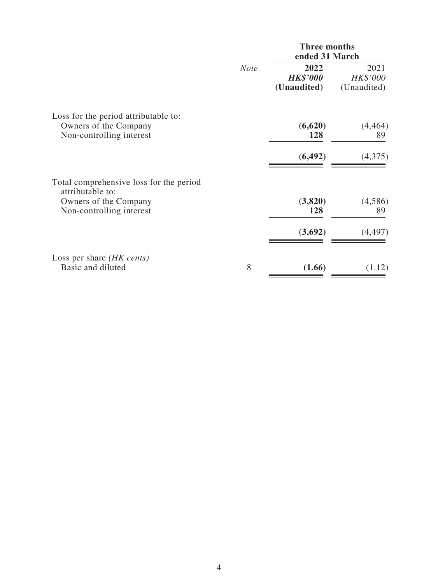|                                                                                                                  |             | <b>Three months</b><br>ended 31 March  |                                 |  |  |
|------------------------------------------------------------------------------------------------------------------|-------------|----------------------------------------|---------------------------------|--|--|
|                                                                                                                  | <b>Note</b> | 2022<br><b>HK\$'000</b><br>(Unaudited) | 2021<br>HK\$'000<br>(Unaudited) |  |  |
| Loss for the period attributable to:<br>Owners of the Company<br>Non-controlling interest                        |             | (6,620)<br>128                         | (4, 464)<br>89                  |  |  |
|                                                                                                                  |             | (6, 492)                               | (4,375)                         |  |  |
| Total comprehensive loss for the period<br>attributable to:<br>Owners of the Company<br>Non-controlling interest |             | (3,820)<br>128                         | (4,586)<br>89                   |  |  |
|                                                                                                                  |             | (3,692)                                | (4, 497)                        |  |  |
| Loss per share <i>(HK cents)</i><br>Basic and diluted                                                            | 8           | (1.66)                                 | (1.12)                          |  |  |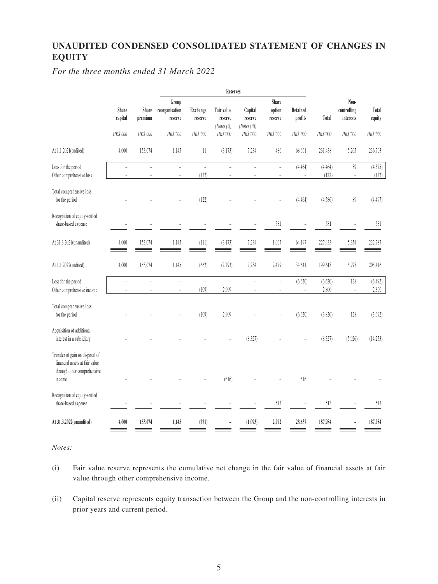# **UNAUDITED CONDENSED CONSOLIDATED STATEMENT OF CHANGES IN EQUITY**

*For the three months ended 31 March 2022*

|                                                                                                            |                              |                                     |                                                |                                        | <b>Reserves</b>                                 |                                                |                                        |                                      |                   |                                              |                             |
|------------------------------------------------------------------------------------------------------------|------------------------------|-------------------------------------|------------------------------------------------|----------------------------------------|-------------------------------------------------|------------------------------------------------|----------------------------------------|--------------------------------------|-------------------|----------------------------------------------|-----------------------------|
|                                                                                                            | Share<br>capital<br>HK\$'000 | <b>Share</b><br>premium<br>HK\$'000 | Group<br>reorganisation<br>reserve<br>HK\$'000 | <b>Exchange</b><br>reserve<br>HK\$'000 | Fair value<br>reserve<br>(Notes(i))<br>HK\$'000 | Capital<br>reserve<br>(Notes (ii))<br>HK\$'000 | Share<br>option<br>reserve<br>HK\$'000 | Retained<br>profits<br>HK\$'000      | Total<br>HK\$'000 | Non-<br>controlling<br>interests<br>HK\$'000 | Total<br>equity<br>HK\$'000 |
|                                                                                                            |                              |                                     |                                                |                                        |                                                 |                                                |                                        |                                      |                   |                                              |                             |
| At 1.1.2021(audited)                                                                                       | 4,000                        | 153,074                             | 1,145                                          | $11\,$                                 | (3,173)                                         | 7,234                                          | 486                                    | 68,661                               | 231,438           | 5,265                                        | 236,703                     |
| Loss for the period<br>Other comprehensive loss                                                            | $\equiv$                     |                                     | $\overline{a}$                                 | $\bar{\phantom{a}}$<br>(122)           | $\overline{a}$                                  | $\overline{a}$                                 | $\bar{a}$                              | (4, 464)<br>$\overline{\phantom{a}}$ | (4, 464)<br>(122) | $89\,$<br>$\overline{\phantom{a}}$           | (4,375)<br>(122)            |
| Total comprehensive loss<br>for the period                                                                 |                              |                                     |                                                | (122)                                  |                                                 |                                                |                                        | (4, 464)                             | (4,586)           | $89$                                         | (4, 497)                    |
| Recognition of equity-settled<br>share-based expense                                                       |                              |                                     |                                                |                                        |                                                 |                                                | 581                                    |                                      | 581               | ÷,                                           | 581                         |
| At 31.3.2021(unaudited)                                                                                    | 4,000                        | 153,074                             | 1,145                                          | (111)                                  | (3,173)                                         | 7,234                                          | 1,067                                  | 64,197                               | 227,433           | 5,354                                        | 232,787                     |
| At 1.1.2022(audited)                                                                                       | 4,000                        | 153,074                             | 1,145                                          | (662)                                  | (2, 293)                                        | 7,234                                          | 2,479                                  | 34,641                               | 199,618           | 5,798                                        | 205,416                     |
| Loss for the period<br>Other comprehensive income                                                          |                              |                                     | $\overline{\phantom{a}}$                       | $\overline{\phantom{0}}$<br>(109)      | $\overline{a}$<br>2,909                         | $\overline{a}$                                 | $\equiv$                               | (6,620)                              | (6,620)<br>2,800  | 128<br>$\overline{\phantom{a}}$              | (6, 492)<br>2,800           |
| Total comprehensive loss<br>for the period                                                                 |                              |                                     |                                                | (109)                                  | 2,909                                           |                                                |                                        | (6,620)                              | (3,820)           | 128                                          | (3,692)                     |
| Acquisition of additional<br>interest in a subsidiary                                                      |                              |                                     |                                                |                                        |                                                 | (8,327)                                        |                                        |                                      | (8, 327)          | (5,926)                                      | (14,253)                    |
| Transfer of gain on disposal of<br>financial assets at fair value<br>through other comprehensive<br>income |                              |                                     |                                                |                                        | (616)                                           |                                                |                                        | 616                                  |                   |                                              |                             |
| Recognition of equity-settled<br>share-based expense                                                       |                              |                                     |                                                |                                        |                                                 |                                                | 513                                    |                                      | 513               |                                              | 513                         |
| At 31.3.2022(unaudited)                                                                                    | 4,000                        | 153,074                             | 1,145                                          | (771)                                  |                                                 | (1,093)                                        | 2,992                                  | 28,637                               | 187,984           |                                              | 187,984                     |

*Notes:*

- (i) Fair value reserve represents the cumulative net change in the fair value of financial assets at fair value through other comprehensive income.
- (ii) Capital reserve represents equity transaction between the Group and the non-controlling interests in prior years and current period.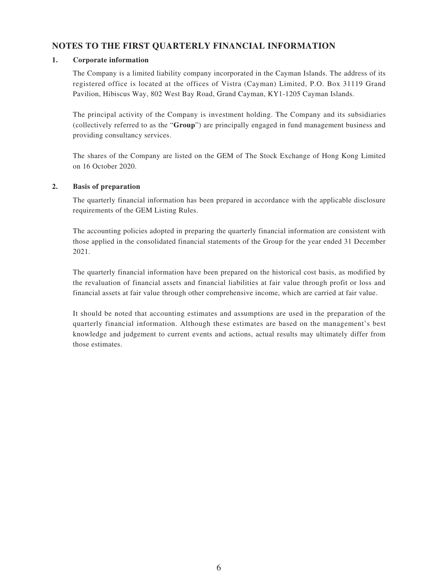#### **NOTES TO THE FIRST QUARTERLY FINANCIAL INFORMATION**

#### **1. Corporate information**

The Company is a limited liability company incorporated in the Cayman Islands. The address of its registered office is located at the offices of Vistra (Cayman) Limited, P.O. Box 31119 Grand Pavilion, Hibiscus Way, 802 West Bay Road, Grand Cayman, KY1-1205 Cayman Islands.

The principal activity of the Company is investment holding. The Company and its subsidiaries (collectively referred to as the "**Group**") are principally engaged in fund management business and providing consultancy services.

The shares of the Company are listed on the GEM of The Stock Exchange of Hong Kong Limited on 16 October 2020.

#### **2. Basis of preparation**

The quarterly financial information has been prepared in accordance with the applicable disclosure requirements of the GEM Listing Rules.

The accounting policies adopted in preparing the quarterly financial information are consistent with those applied in the consolidated financial statements of the Group for the year ended 31 December 2021.

The quarterly financial information have been prepared on the historical cost basis, as modified by the revaluation of financial assets and financial liabilities at fair value through profit or loss and financial assets at fair value through other comprehensive income, which are carried at fair value.

It should be noted that accounting estimates and assumptions are used in the preparation of the quarterly financial information. Although these estimates are based on the management's best knowledge and judgement to current events and actions, actual results may ultimately differ from those estimates.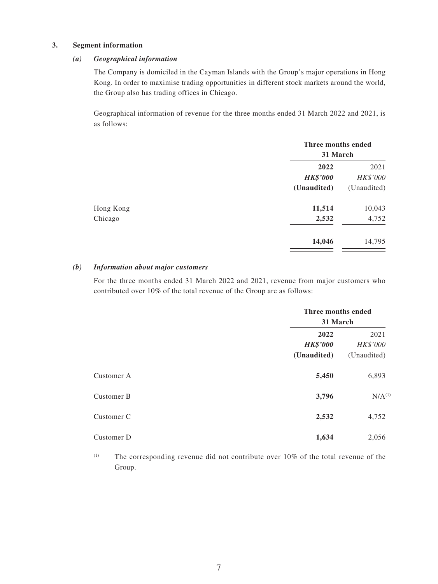#### **3. Segment information**

#### *(a) Geographical information*

The Company is domiciled in the Cayman Islands with the Group's major operations in Hong Kong. In order to maximise trading opportunities in different stock markets around the world, the Group also has trading offices in Chicago.

Geographical information of revenue for the three months ended 31 March 2022 and 2021, is as follows:

|           |                         | Three months ended<br>31 March |  |  |
|-----------|-------------------------|--------------------------------|--|--|
|           | 2022<br><b>HK\$'000</b> | 2021<br>HK\$'000               |  |  |
|           | (Unaudited)             | (Unaudited)                    |  |  |
| Hong Kong | 11,514                  | 10,043                         |  |  |
| Chicago   | 2,532                   | 4,752                          |  |  |
|           | 14,046                  | 14,795                         |  |  |

#### *(b) Information about major customers*

For the three months ended 31 March 2022 and 2021, revenue from major customers who contributed over 10% of the total revenue of the Group are as follows:

|            | Three months ended<br>31 March         |                                 |  |
|------------|----------------------------------------|---------------------------------|--|
|            | 2022<br><b>HK\$'000</b><br>(Unaudited) | 2021<br>HK\$'000<br>(Unaudited) |  |
| Customer A | 5,450                                  | 6,893                           |  |
| Customer B | 3,796                                  | $N/A$ <sup>(1)</sup>            |  |
| Customer C | 2,532                                  | 4,752                           |  |
| Customer D | 1,634                                  | 2,056                           |  |

(1) The corresponding revenue did not contribute over 10% of the total revenue of the Group.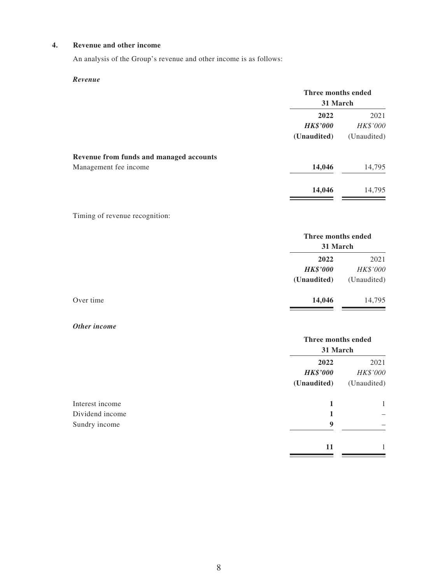#### **4. Revenue and other income**

An analysis of the Group's revenue and other income is as follows:

#### *Revenue*

|                                                                  | Three months ended<br>31 March         |                                 |
|------------------------------------------------------------------|----------------------------------------|---------------------------------|
|                                                                  | 2022<br><b>HK\$'000</b><br>(Unaudited) | 2021<br>HK\$'000<br>(Unaudited) |
| Revenue from funds and managed accounts<br>Management fee income | 14,046                                 | 14,795                          |
|                                                                  | 14,046                                 | 14,795                          |

#### Timing of revenue recognition:

|  | Three months ended<br>31 March |             |
|--|--------------------------------|-------------|
|  |                                |             |
|  | 2022                           | 2021        |
|  | <b>HK\$'000</b>                | HK\$'000    |
|  | (Unaudited)                    | (Unaudited) |
|  | 14,046                         | 14,795      |
|  |                                |             |

#### *Other income*

|                                  |                                        | Three months ended<br>31 March  |  |  |
|----------------------------------|----------------------------------------|---------------------------------|--|--|
|                                  | 2022<br><b>HK\$'000</b><br>(Unaudited) | 2021<br>HK\$'000<br>(Unaudited) |  |  |
| Interest income                  | 1                                      | 1                               |  |  |
| Dividend income<br>Sundry income | 9                                      |                                 |  |  |
|                                  | 11                                     | 1                               |  |  |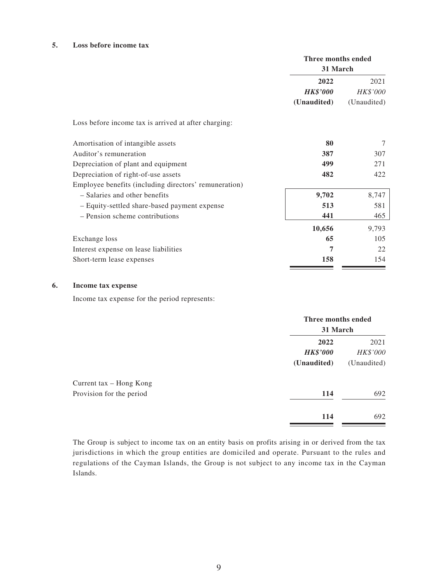#### **5. Loss before income tax**

|                                                       | Three months ended<br>31 March |                  |  |
|-------------------------------------------------------|--------------------------------|------------------|--|
|                                                       | 2022<br><b>HK\$'000</b>        | 2021<br>HK\$'000 |  |
|                                                       | (Unaudited)                    | (Unaudited)      |  |
| Loss before income tax is arrived at after charging:  |                                |                  |  |
| Amortisation of intangible assets                     | 80                             | 7                |  |
| Auditor's remuneration                                | 387                            | 307              |  |
| Depreciation of plant and equipment                   | 499                            | 271              |  |
| Depreciation of right-of-use assets                   | 482                            | 422              |  |
| Employee benefits (including directors' remuneration) |                                |                  |  |
| - Salaries and other benefits                         | 9,702                          | 8,747            |  |
| - Equity-settled share-based payment expense          | 513                            | 581              |  |
| - Pension scheme contributions                        | 441                            | 465              |  |
|                                                       | 10,656                         | 9,793            |  |
| Exchange loss                                         | 65                             | 105              |  |
| Interest expense on lease liabilities                 | 7                              | 22               |  |
| Short-term lease expenses                             | 158                            | 154              |  |

#### **6. Income tax expense**

Income tax expense for the period represents:

|                          | Three months ended<br>31 March |                  |
|--------------------------|--------------------------------|------------------|
|                          | 2022<br><b>HK\$'000</b>        | 2021<br>HK\$'000 |
|                          | (Unaudited)                    | (Unaudited)      |
| Current tax – Hong Kong  |                                |                  |
| Provision for the period | 114                            | 692              |
|                          | 114                            | 692              |

The Group is subject to income tax on an entity basis on profits arising in or derived from the tax jurisdictions in which the group entities are domiciled and operate. Pursuant to the rules and regulations of the Cayman Islands, the Group is not subject to any income tax in the Cayman Islands.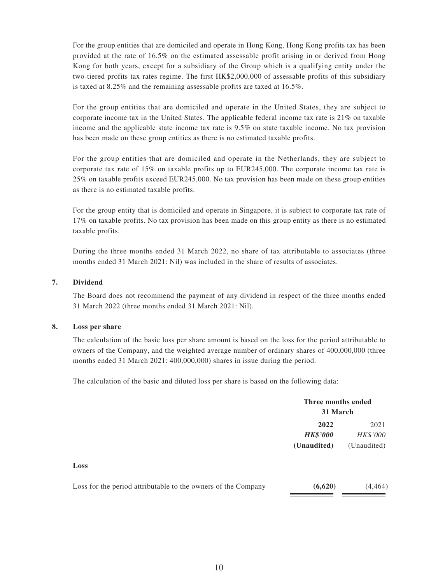For the group entities that are domiciled and operate in Hong Kong, Hong Kong profits tax has been provided at the rate of 16.5% on the estimated assessable profit arising in or derived from Hong Kong for both years, except for a subsidiary of the Group which is a qualifying entity under the two-tiered profits tax rates regime. The first HK\$2,000,000 of assessable profits of this subsidiary is taxed at 8.25% and the remaining assessable profits are taxed at 16.5%.

For the group entities that are domiciled and operate in the United States, they are subject to corporate income tax in the United States. The applicable federal income tax rate is 21% on taxable income and the applicable state income tax rate is 9.5% on state taxable income. No tax provision has been made on these group entities as there is no estimated taxable profits.

For the group entities that are domiciled and operate in the Netherlands, they are subject to corporate tax rate of 15% on taxable profits up to EUR245,000. The corporate income tax rate is 25% on taxable profits exceed EUR245,000. No tax provision has been made on these group entities as there is no estimated taxable profits.

For the group entity that is domiciled and operate in Singapore, it is subject to corporate tax rate of 17% on taxable profits. No tax provision has been made on this group entity as there is no estimated taxable profits.

During the three months ended 31 March 2022, no share of tax attributable to associates (three months ended 31 March 2021: Nil) was included in the share of results of associates.

#### **7. Dividend**

The Board does not recommend the payment of any dividend in respect of the three months ended 31 March 2022 (three months ended 31 March 2021: Nil).

#### **8. Loss per share**

The calculation of the basic loss per share amount is based on the loss for the period attributable to owners of the Company, and the weighted average number of ordinary shares of 400,000,000 (three months ended 31 March 2021: 400,000,000) shares in issue during the period.

The calculation of the basic and diluted loss per share is based on the following data:

|                                                               | Three months ended<br>31 March         |                                 |  |
|---------------------------------------------------------------|----------------------------------------|---------------------------------|--|
|                                                               | 2022<br><b>HK\$'000</b><br>(Unaudited) | 2021<br>HK\$'000<br>(Unaudited) |  |
| Loss                                                          |                                        |                                 |  |
| Loss for the period attributable to the owners of the Company | (6,620)                                | (4, 464)                        |  |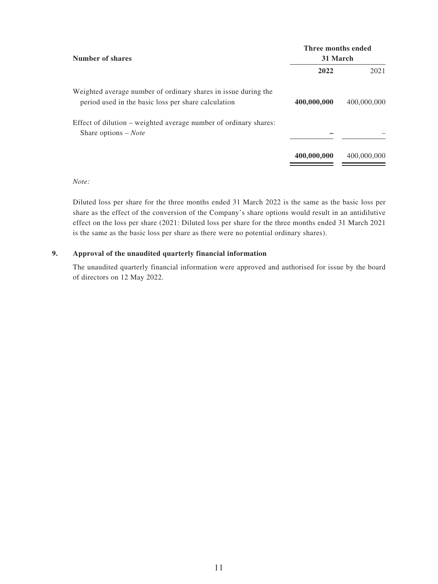| Number of shares                                                                                                      | Three months ended<br>31 March |             |  |  |
|-----------------------------------------------------------------------------------------------------------------------|--------------------------------|-------------|--|--|
|                                                                                                                       | 2022                           | 2021        |  |  |
| Weighted average number of ordinary shares in issue during the<br>period used in the basic loss per share calculation | 400,000,000                    | 400,000,000 |  |  |
| Effect of dilution – weighted average number of ordinary shares:<br>Share options $-$ <i>Note</i>                     |                                |             |  |  |
|                                                                                                                       | 400,000,000                    | 400,000,000 |  |  |
|                                                                                                                       |                                |             |  |  |

#### *Note:*

Diluted loss per share for the three months ended 31 March 2022 is the same as the basic loss per share as the effect of the conversion of the Company's share options would result in an antidilutive effect on the loss per share (2021: Diluted loss per share for the three months ended 31 March 2021 is the same as the basic loss per share as there were no potential ordinary shares).

#### **9. Approval of the unaudited quarterly financial information**

The unaudited quarterly financial information were approved and authorised for issue by the board of directors on 12 May 2022.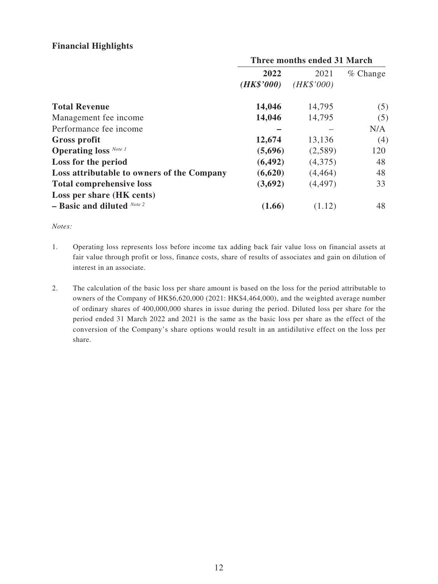### **Financial Highlights**

|                                            | Three months ended 31 March |            |            |
|--------------------------------------------|-----------------------------|------------|------------|
|                                            | 2022                        | 2021       | $%$ Change |
|                                            | (HK\$'000)                  | (HK\$'000) |            |
| <b>Total Revenue</b>                       | 14,046                      | 14,795     | (5)        |
| Management fee income                      | 14,046                      | 14,795     | (5)        |
| Performance fee income                     |                             |            | N/A        |
| <b>Gross profit</b>                        | 12,674                      | 13,136     | (4)        |
| <b>Operating loss</b> Note 1               | (5,696)                     | (2,589)    | 120        |
| Loss for the period                        | (6, 492)                    | (4,375)    | 48         |
| Loss attributable to owners of the Company | (6,620)                     | (4, 464)   | 48         |
| <b>Total comprehensive loss</b>            | (3,692)                     | (4, 497)   | 33         |
| Loss per share (HK cents)                  |                             |            |            |
| $-$ Basic and diluted Note 2               | (1.66)                      | (1.12)     | 48         |

*Notes:*

- 1. Operating loss represents loss before income tax adding back fair value loss on financial assets at fair value through profit or loss, finance costs, share of results of associates and gain on dilution of interest in an associate.
- 2. The calculation of the basic loss per share amount is based on the loss for the period attributable to owners of the Company of HK\$6,620,000 (2021: HK\$4,464,000), and the weighted average number of ordinary shares of 400,000,000 shares in issue during the period. Diluted loss per share for the period ended 31 March 2022 and 2021 is the same as the basic loss per share as the effect of the conversion of the Company's share options would result in an antidilutive effect on the loss per share.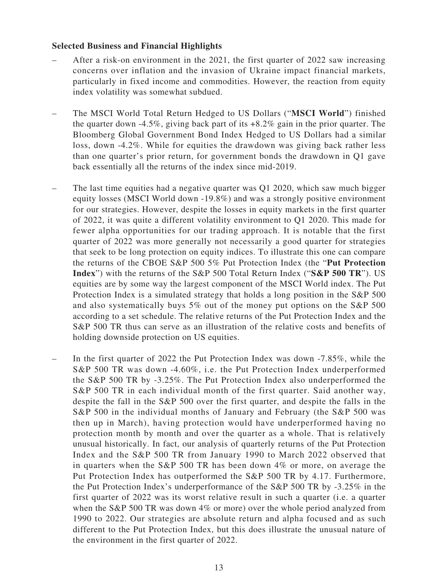#### **Selected Business and Financial Highlights**

- After a risk-on environment in the 2021, the first quarter of 2022 saw increasing concerns over inflation and the invasion of Ukraine impact financial markets, particularly in fixed income and commodities. However, the reaction from equity index volatility was somewhat subdued.
- The MSCI World Total Return Hedged to US Dollars ("**MSCI World**") finished the quarter down -4.5%, giving back part of its  $+8.2\%$  gain in the prior quarter. The Bloomberg Global Government Bond Index Hedged to US Dollars had a similar loss, down -4.2%. While for equities the drawdown was giving back rather less than one quarter's prior return, for government bonds the drawdown in Q1 gave back essentially all the returns of the index since mid-2019.
- The last time equities had a negative quarter was Q1 2020, which saw much bigger equity losses (MSCI World down -19.8%) and was a strongly positive environment for our strategies. However, despite the losses in equity markets in the first quarter of 2022, it was quite a different volatility environment to Q1 2020. This made for fewer alpha opportunities for our trading approach. It is notable that the first quarter of 2022 was more generally not necessarily a good quarter for strategies that seek to be long protection on equity indices. To illustrate this one can compare the returns of the CBOE S&P 500 5% Put Protection Index (the "**Put Protection Index**") with the returns of the S&P 500 Total Return Index ("**S&P 500 TR**"). US equities are by some way the largest component of the MSCI World index. The Put Protection Index is a simulated strategy that holds a long position in the S&P 500 and also systematically buys 5% out of the money put options on the S&P 500 according to a set schedule. The relative returns of the Put Protection Index and the S&P 500 TR thus can serve as an illustration of the relative costs and benefits of holding downside protection on US equities.
- In the first quarter of 2022 the Put Protection Index was down -7.85%, while the S&P 500 TR was down -4.60%, i.e. the Put Protection Index underperformed the S&P 500 TR by -3.25%. The Put Protection Index also underperformed the S&P 500 TR in each individual month of the first quarter. Said another way, despite the fall in the S&P 500 over the first quarter, and despite the falls in the S&P 500 in the individual months of January and February (the S&P 500 was then up in March), having protection would have underperformed having no protection month by month and over the quarter as a whole. That is relatively unusual historically. In fact, our analysis of quarterly returns of the Put Protection Index and the S&P 500 TR from January 1990 to March 2022 observed that in quarters when the S&P 500 TR has been down 4% or more, on average the Put Protection Index has outperformed the S&P 500 TR by 4.17. Furthermore, the Put Protection Index's underperformance of the S&P 500 TR by -3.25% in the first quarter of 2022 was its worst relative result in such a quarter (i.e. a quarter when the S&P 500 TR was down 4% or more) over the whole period analyzed from 1990 to 2022. Our strategies are absolute return and alpha focused and as such different to the Put Protection Index, but this does illustrate the unusual nature of the environment in the first quarter of 2022.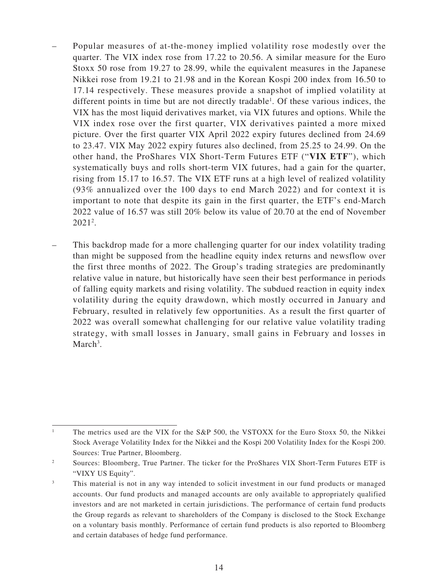- Popular measures of at-the-money implied volatility rose modestly over the quarter. The VIX index rose from 17.22 to 20.56. A similar measure for the Euro Stoxx 50 rose from 19.27 to 28.99, while the equivalent measures in the Japanese Nikkei rose from 19.21 to 21.98 and in the Korean Kospi 200 index from 16.50 to 17.14 respectively. These measures provide a snapshot of implied volatility at different points in time but are not directly tradable<sup>1</sup>. Of these various indices, the VIX has the most liquid derivatives market, via VIX futures and options. While the VIX index rose over the first quarter, VIX derivatives painted a more mixed picture. Over the first quarter VIX April 2022 expiry futures declined from 24.69 to 23.47. VIX May 2022 expiry futures also declined, from 25.25 to 24.99. On the other hand, the ProShares VIX Short-Term Futures ETF ("**VIX ETF**"), which systematically buys and rolls short-term VIX futures, had a gain for the quarter, rising from 15.17 to 16.57. The VIX ETF runs at a high level of realized volatility (93% annualized over the 100 days to end March 2022) and for context it is important to note that despite its gain in the first quarter, the ETF's end-March 2022 value of 16.57 was still 20% below its value of 20.70 at the end of November 20212 .
- This backdrop made for a more challenging quarter for our index volatility trading than might be supposed from the headline equity index returns and newsflow over the first three months of 2022. The Group's trading strategies are predominantly relative value in nature, but historically have seen their best performance in periods of falling equity markets and rising volatility. The subdued reaction in equity index volatility during the equity drawdown, which mostly occurred in January and February, resulted in relatively few opportunities. As a result the first quarter of 2022 was overall somewhat challenging for our relative value volatility trading strategy, with small losses in January, small gains in February and losses in March<sup>3</sup>.

<sup>&</sup>lt;sup>1</sup> The metrics used are the VIX for the S&P 500, the VSTOXX for the Euro Stoxx 50, the Nikkei Stock Average Volatility Index for the Nikkei and the Kospi 200 Volatility Index for the Kospi 200. Sources: True Partner, Bloomberg.

<sup>&</sup>lt;sup>2</sup> Sources: Bloomberg, True Partner. The ticker for the ProShares VIX Short-Term Futures ETF is "VIXY US Equity".

<sup>&</sup>lt;sup>3</sup> This material is not in any way intended to solicit investment in our fund products or managed accounts. Our fund products and managed accounts are only available to appropriately qualified investors and are not marketed in certain jurisdictions. The performance of certain fund products the Group regards as relevant to shareholders of the Company is disclosed to the Stock Exchange on a voluntary basis monthly. Performance of certain fund products is also reported to Bloomberg and certain databases of hedge fund performance.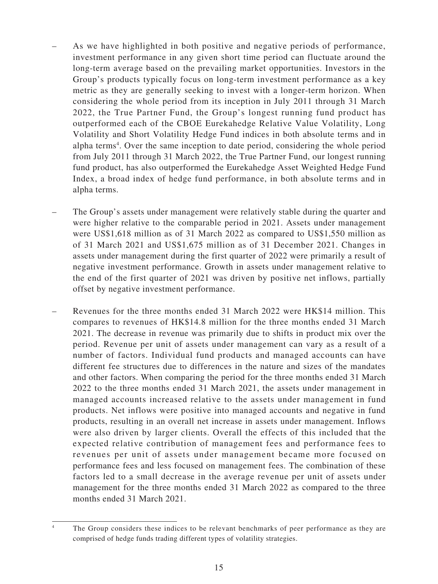- As we have highlighted in both positive and negative periods of performance, investment performance in any given short time period can fluctuate around the long-term average based on the prevailing market opportunities. Investors in the Group's products typically focus on long-term investment performance as a key metric as they are generally seeking to invest with a longer-term horizon. When considering the whole period from its inception in July 2011 through 31 March 2022, the True Partner Fund, the Group's longest running fund product has outperformed each of the CBOE Eurekahedge Relative Value Volatility, Long Volatility and Short Volatility Hedge Fund indices in both absolute terms and in alpha terms<sup>4</sup>. Over the same inception to date period, considering the whole period from July 2011 through 31 March 2022, the True Partner Fund, our longest running fund product, has also outperformed the Eurekahedge Asset Weighted Hedge Fund Index, a broad index of hedge fund performance, in both absolute terms and in alpha terms.
- The Group's assets under management were relatively stable during the quarter and were higher relative to the comparable period in 2021. Assets under management were US\$1,618 million as of 31 March 2022 as compared to US\$1,550 million as of 31 March 2021 and US\$1,675 million as of 31 December 2021. Changes in assets under management during the first quarter of 2022 were primarily a result of negative investment performance. Growth in assets under management relative to the end of the first quarter of 2021 was driven by positive net inflows, partially offset by negative investment performance.
- Revenues for the three months ended 31 March 2022 were HK\$14 million. This compares to revenues of HK\$14.8 million for the three months ended 31 March 2021. The decrease in revenue was primarily due to shifts in product mix over the period. Revenue per unit of assets under management can vary as a result of a number of factors. Individual fund products and managed accounts can have different fee structures due to differences in the nature and sizes of the mandates and other factors. When comparing the period for the three months ended 31 March 2022 to the three months ended 31 March 2021, the assets under management in managed accounts increased relative to the assets under management in fund products. Net inflows were positive into managed accounts and negative in fund products, resulting in an overall net increase in assets under management. Inflows were also driven by larger clients. Overall the effects of this included that the expected relative contribution of management fees and performance fees to revenues per unit of assets under management became more focused on performance fees and less focused on management fees. The combination of these factors led to a small decrease in the average revenue per unit of assets under management for the three months ended 31 March 2022 as compared to the three months ended 31 March 2021.

The Group considers these indices to be relevant benchmarks of peer performance as they are comprised of hedge funds trading different types of volatility strategies.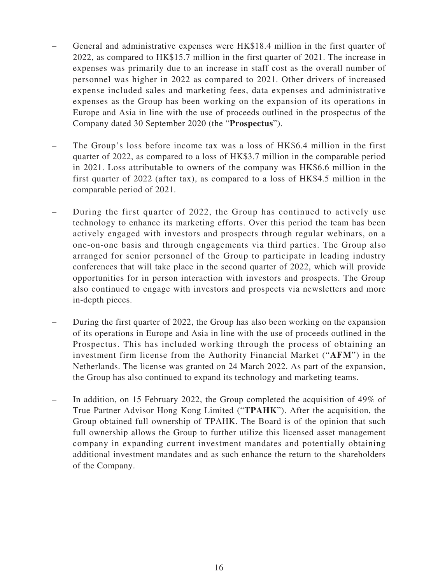- General and administrative expenses were HK\$18.4 million in the first quarter of 2022, as compared to HK\$15.7 million in the first quarter of 2021. The increase in expenses was primarily due to an increase in staff cost as the overall number of personnel was higher in 2022 as compared to 2021. Other drivers of increased expense included sales and marketing fees, data expenses and administrative expenses as the Group has been working on the expansion of its operations in Europe and Asia in line with the use of proceeds outlined in the prospectus of the Company dated 30 September 2020 (the "**Prospectus**").
- The Group's loss before income tax was a loss of HK\$6.4 million in the first quarter of 2022, as compared to a loss of HK\$3.7 million in the comparable period in 2021. Loss attributable to owners of the company was HK\$6.6 million in the first quarter of 2022 (after tax), as compared to a loss of HK\$4.5 million in the comparable period of 2021.
- During the first quarter of 2022, the Group has continued to actively use technology to enhance its marketing efforts. Over this period the team has been actively engaged with investors and prospects through regular webinars, on a one-on-one basis and through engagements via third parties. The Group also arranged for senior personnel of the Group to participate in leading industry conferences that will take place in the second quarter of 2022, which will provide opportunities for in person interaction with investors and prospects. The Group also continued to engage with investors and prospects via newsletters and more in-depth pieces.
- During the first quarter of 2022, the Group has also been working on the expansion of its operations in Europe and Asia in line with the use of proceeds outlined in the Prospectus. This has included working through the process of obtaining an investment firm license from the Authority Financial Market ("**AFM**") in the Netherlands. The license was granted on 24 March 2022. As part of the expansion, the Group has also continued to expand its technology and marketing teams.
- In addition, on 15 February 2022, the Group completed the acquisition of 49% of True Partner Advisor Hong Kong Limited ("**TPAHK**"). After the acquisition, the Group obtained full ownership of TPAHK. The Board is of the opinion that such full ownership allows the Group to further utilize this licensed asset management company in expanding current investment mandates and potentially obtaining additional investment mandates and as such enhance the return to the shareholders of the Company.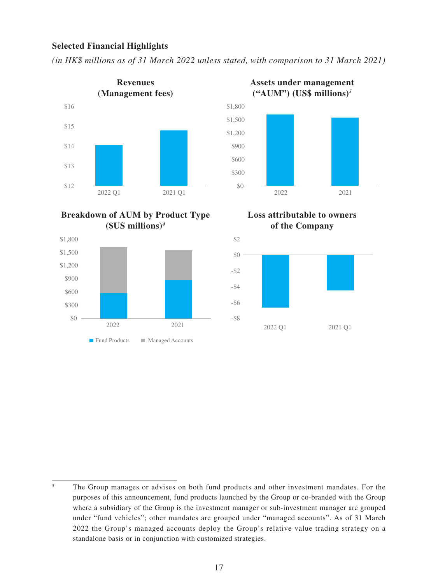#### **Selected Financial Highlights**

*(in HK\$ millions as of 31 March 2022 unless stated, with comparison to 31 March 2021)*



**Breakdown of AUM by Product Type (\$US millions)***<sup>4</sup>*





**Loss attributable to owners of the Company**



<sup>&</sup>lt;sup>5</sup> The Group manages or advises on both fund products and other investment mandates. For the purposes of this announcement, fund products launched by the Group or co-branded with the Group where a subsidiary of the Group is the investment manager or sub-investment manager are grouped under "fund vehicles"; other mandates are grouped under "managed accounts". As of 31 March 2022 the Group's managed accounts deploy the Group's relative value trading strategy on a standalone basis or in conjunction with customized strategies.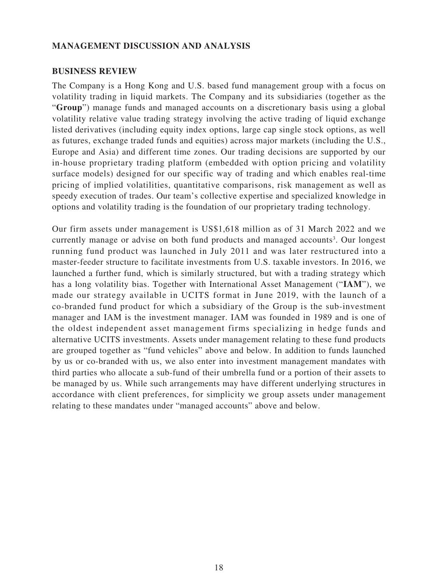#### **MANAGEMENT DISCUSSION AND ANALYSIS**

#### **BUSINESS REVIEW**

The Company is a Hong Kong and U.S. based fund management group with a focus on volatility trading in liquid markets. The Company and its subsidiaries (together as the "**Group**") manage funds and managed accounts on a discretionary basis using a global volatility relative value trading strategy involving the active trading of liquid exchange listed derivatives (including equity index options, large cap single stock options, as well as futures, exchange traded funds and equities) across major markets (including the U.S., Europe and Asia) and different time zones. Our trading decisions are supported by our in-house proprietary trading platform (embedded with option pricing and volatility surface models) designed for our specific way of trading and which enables real-time pricing of implied volatilities, quantitative comparisons, risk management as well as speedy execution of trades. Our team's collective expertise and specialized knowledge in options and volatility trading is the foundation of our proprietary trading technology.

Our firm assets under management is US\$1,618 million as of 31 March 2022 and we currently manage or advise on both fund products and managed accounts<sup>3</sup>. Our longest running fund product was launched in July 2011 and was later restructured into a master-feeder structure to facilitate investments from U.S. taxable investors. In 2016, we launched a further fund, which is similarly structured, but with a trading strategy which has a long volatility bias. Together with International Asset Management ("**IAM**"), we made our strategy available in UCITS format in June 2019, with the launch of a co-branded fund product for which a subsidiary of the Group is the sub-investment manager and IAM is the investment manager. IAM was founded in 1989 and is one of the oldest independent asset management firms specializing in hedge funds and alternative UCITS investments. Assets under management relating to these fund products are grouped together as "fund vehicles" above and below. In addition to funds launched by us or co-branded with us, we also enter into investment management mandates with third parties who allocate a sub-fund of their umbrella fund or a portion of their assets to be managed by us. While such arrangements may have different underlying structures in accordance with client preferences, for simplicity we group assets under management relating to these mandates under "managed accounts" above and below.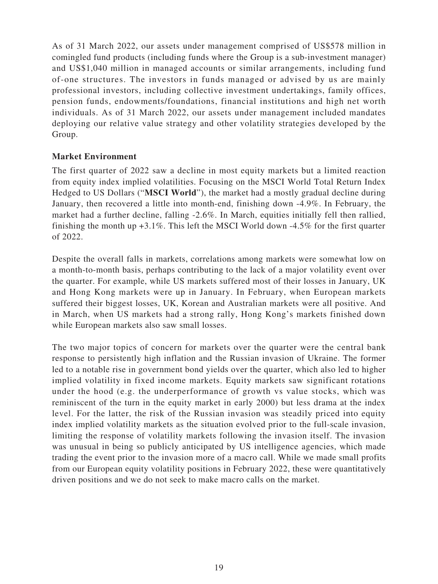As of 31 March 2022, our assets under management comprised of US\$578 million in comingled fund products (including funds where the Group is a sub-investment manager) and US\$1,040 million in managed accounts or similar arrangements, including fund of-one structures. The investors in funds managed or advised by us are mainly professional investors, including collective investment undertakings, family offices, pension funds, endowments/foundations, financial institutions and high net worth individuals. As of 31 March 2022, our assets under management included mandates deploying our relative value strategy and other volatility strategies developed by the Group.

### **Market Environment**

The first quarter of 2022 saw a decline in most equity markets but a limited reaction from equity index implied volatilities. Focusing on the MSCI World Total Return Index Hedged to US Dollars ("**MSCI World**"), the market had a mostly gradual decline during January, then recovered a little into month-end, finishing down -4.9%. In February, the market had a further decline, falling -2.6%. In March, equities initially fell then rallied, finishing the month up +3.1%. This left the MSCI World down -4.5% for the first quarter of 2022.

Despite the overall falls in markets, correlations among markets were somewhat low on a month-to-month basis, perhaps contributing to the lack of a major volatility event over the quarter. For example, while US markets suffered most of their losses in January, UK and Hong Kong markets were up in January. In February, when European markets suffered their biggest losses, UK, Korean and Australian markets were all positive. And in March, when US markets had a strong rally, Hong Kong's markets finished down while European markets also saw small losses.

The two major topics of concern for markets over the quarter were the central bank response to persistently high inflation and the Russian invasion of Ukraine. The former led to a notable rise in government bond yields over the quarter, which also led to higher implied volatility in fixed income markets. Equity markets saw significant rotations under the hood (e.g. the underperformance of growth vs value stocks, which was reminiscent of the turn in the equity market in early 2000) but less drama at the index level. For the latter, the risk of the Russian invasion was steadily priced into equity index implied volatility markets as the situation evolved prior to the full-scale invasion, limiting the response of volatility markets following the invasion itself. The invasion was unusual in being so publicly anticipated by US intelligence agencies, which made trading the event prior to the invasion more of a macro call. While we made small profits from our European equity volatility positions in February 2022, these were quantitatively driven positions and we do not seek to make macro calls on the market.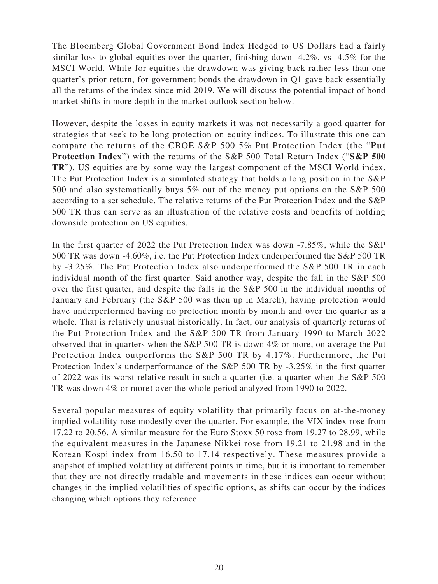The Bloomberg Global Government Bond Index Hedged to US Dollars had a fairly similar loss to global equities over the quarter, finishing down -4.2%, vs -4.5% for the MSCI World. While for equities the drawdown was giving back rather less than one quarter's prior return, for government bonds the drawdown in Q1 gave back essentially all the returns of the index since mid-2019. We will discuss the potential impact of bond market shifts in more depth in the market outlook section below.

However, despite the losses in equity markets it was not necessarily a good quarter for strategies that seek to be long protection on equity indices. To illustrate this one can compare the returns of the CBOE S&P 500 5% Put Protection Index (the "**Put Protection Index**") with the returns of the S&P 500 Total Return Index ("**S&P 500 TR**"). US equities are by some way the largest component of the MSCI World index. The Put Protection Index is a simulated strategy that holds a long position in the S&P 500 and also systematically buys 5% out of the money put options on the S&P 500 according to a set schedule. The relative returns of the Put Protection Index and the S&P 500 TR thus can serve as an illustration of the relative costs and benefits of holding downside protection on US equities.

In the first quarter of 2022 the Put Protection Index was down -7.85%, while the S&P 500 TR was down -4.60%, i.e. the Put Protection Index underperformed the S&P 500 TR by -3.25%. The Put Protection Index also underperformed the S&P 500 TR in each individual month of the first quarter. Said another way, despite the fall in the S&P 500 over the first quarter, and despite the falls in the S&P 500 in the individual months of January and February (the S&P 500 was then up in March), having protection would have underperformed having no protection month by month and over the quarter as a whole. That is relatively unusual historically. In fact, our analysis of quarterly returns of the Put Protection Index and the S&P 500 TR from January 1990 to March 2022 observed that in quarters when the S&P 500 TR is down 4% or more, on average the Put Protection Index outperforms the S&P 500 TR by 4.17%. Furthermore, the Put Protection Index's underperformance of the S&P 500 TR by -3.25% in the first quarter of 2022 was its worst relative result in such a quarter (i.e. a quarter when the S&P 500 TR was down 4% or more) over the whole period analyzed from 1990 to 2022.

Several popular measures of equity volatility that primarily focus on at-the-money implied volatility rose modestly over the quarter. For example, the VIX index rose from 17.22 to 20.56. A similar measure for the Euro Stoxx 50 rose from 19.27 to 28.99, while the equivalent measures in the Japanese Nikkei rose from 19.21 to 21.98 and in the Korean Kospi index from 16.50 to 17.14 respectively. These measures provide a snapshot of implied volatility at different points in time, but it is important to remember that they are not directly tradable and movements in these indices can occur without changes in the implied volatilities of specific options, as shifts can occur by the indices changing which options they reference.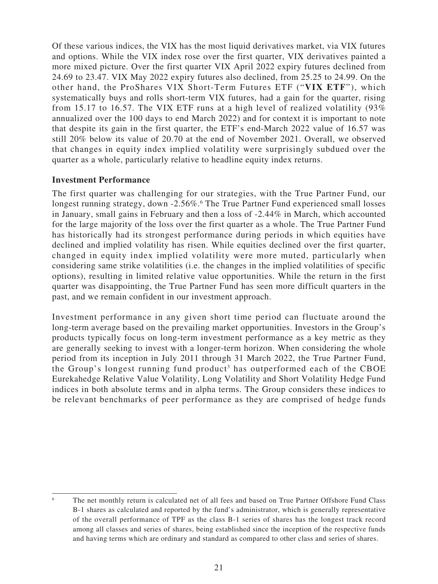Of these various indices, the VIX has the most liquid derivatives market, via VIX futures and options. While the VIX index rose over the first quarter, VIX derivatives painted a more mixed picture. Over the first quarter VIX April 2022 expiry futures declined from 24.69 to 23.47. VIX May 2022 expiry futures also declined, from 25.25 to 24.99. On the other hand, the ProShares VIX Short-Term Futures ETF ("**VIX ETF**"), which systematically buys and rolls short-term VIX futures, had a gain for the quarter, rising from 15.17 to 16.57. The VIX ETF runs at a high level of realized volatility (93% annualized over the 100 days to end March 2022) and for context it is important to note that despite its gain in the first quarter, the ETF's end-March 2022 value of 16.57 was still 20% below its value of 20.70 at the end of November 2021. Overall, we observed that changes in equity index implied volatility were surprisingly subdued over the quarter as a whole, particularly relative to headline equity index returns.

#### **Investment Performance**

The first quarter was challenging for our strategies, with the True Partner Fund, our longest running strategy, down -2.56%.<sup>6</sup> The True Partner Fund experienced small losses in January, small gains in February and then a loss of -2.44% in March, which accounted for the large majority of the loss over the first quarter as a whole. The True Partner Fund has historically had its strongest performance during periods in which equities have declined and implied volatility has risen. While equities declined over the first quarter, changed in equity index implied volatility were more muted, particularly when considering same strike volatilities (i.e. the changes in the implied volatilities of specific options), resulting in limited relative value opportunities. While the return in the first quarter was disappointing, the True Partner Fund has seen more difficult quarters in the past, and we remain confident in our investment approach.

Investment performance in any given short time period can fluctuate around the long-term average based on the prevailing market opportunities. Investors in the Group's products typically focus on long-term investment performance as a key metric as they are generally seeking to invest with a longer-term horizon. When considering the whole period from its inception in July 2011 through 31 March 2022, the True Partner Fund, the Group's longest running fund product<sup>3</sup> has outperformed each of the CBOE Eurekahedge Relative Value Volatility, Long Volatility and Short Volatility Hedge Fund indices in both absolute terms and in alpha terms. The Group considers these indices to be relevant benchmarks of peer performance as they are comprised of hedge funds

The net monthly return is calculated net of all fees and based on True Partner Offshore Fund Class B-1 shares as calculated and reported by the fund's administrator, which is generally representative of the overall performance of TPF as the class B-1 series of shares has the longest track record among all classes and series of shares, being established since the inception of the respective funds and having terms which are ordinary and standard as compared to other class and series of shares.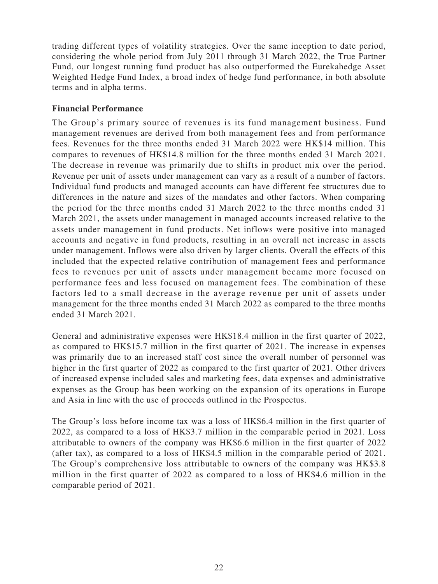trading different types of volatility strategies. Over the same inception to date period, considering the whole period from July 2011 through 31 March 2022, the True Partner Fund, our longest running fund product has also outperformed the Eurekahedge Asset Weighted Hedge Fund Index, a broad index of hedge fund performance, in both absolute terms and in alpha terms.

### **Financial Performance**

The Group's primary source of revenues is its fund management business. Fund management revenues are derived from both management fees and from performance fees. Revenues for the three months ended 31 March 2022 were HK\$14 million. This compares to revenues of HK\$14.8 million for the three months ended 31 March 2021. The decrease in revenue was primarily due to shifts in product mix over the period. Revenue per unit of assets under management can vary as a result of a number of factors. Individual fund products and managed accounts can have different fee structures due to differences in the nature and sizes of the mandates and other factors. When comparing the period for the three months ended 31 March 2022 to the three months ended 31 March 2021, the assets under management in managed accounts increased relative to the assets under management in fund products. Net inflows were positive into managed accounts and negative in fund products, resulting in an overall net increase in assets under management. Inflows were also driven by larger clients. Overall the effects of this included that the expected relative contribution of management fees and performance fees to revenues per unit of assets under management became more focused on performance fees and less focused on management fees. The combination of these factors led to a small decrease in the average revenue per unit of assets under management for the three months ended 31 March 2022 as compared to the three months ended 31 March 2021.

General and administrative expenses were HK\$18.4 million in the first quarter of 2022, as compared to HK\$15.7 million in the first quarter of 2021. The increase in expenses was primarily due to an increased staff cost since the overall number of personnel was higher in the first quarter of 2022 as compared to the first quarter of 2021. Other drivers of increased expense included sales and marketing fees, data expenses and administrative expenses as the Group has been working on the expansion of its operations in Europe and Asia in line with the use of proceeds outlined in the Prospectus.

The Group's loss before income tax was a loss of HK\$6.4 million in the first quarter of 2022, as compared to a loss of HK\$3.7 million in the comparable period in 2021. Loss attributable to owners of the company was HK\$6.6 million in the first quarter of 2022 (after tax), as compared to a loss of HK\$4.5 million in the comparable period of 2021. The Group's comprehensive loss attributable to owners of the company was HK\$3.8 million in the first quarter of 2022 as compared to a loss of HK\$4.6 million in the comparable period of 2021.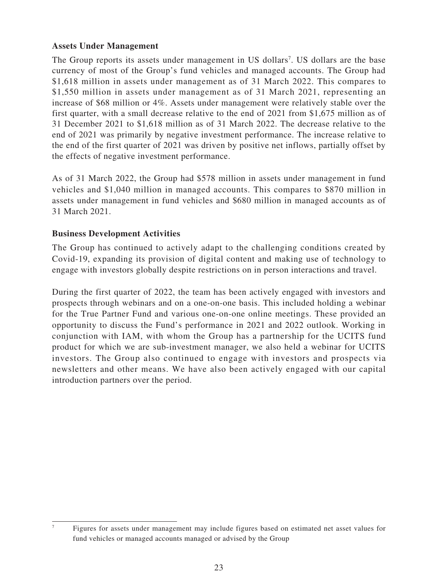### **Assets Under Management**

The Group reports its assets under management in US dollars<sup>7</sup>. US dollars are the base currency of most of the Group's fund vehicles and managed accounts. The Group had \$1,618 million in assets under management as of 31 March 2022. This compares to \$1,550 million in assets under management as of 31 March 2021, representing an increase of \$68 million or 4%. Assets under management were relatively stable over the first quarter, with a small decrease relative to the end of 2021 from \$1,675 million as of 31 December 2021 to \$1,618 million as of 31 March 2022. The decrease relative to the end of 2021 was primarily by negative investment performance. The increase relative to the end of the first quarter of 2021 was driven by positive net inflows, partially offset by the effects of negative investment performance.

As of 31 March 2022, the Group had \$578 million in assets under management in fund vehicles and \$1,040 million in managed accounts. This compares to \$870 million in assets under management in fund vehicles and \$680 million in managed accounts as of 31 March 2021.

### **Business Development Activities**

The Group has continued to actively adapt to the challenging conditions created by Covid-19, expanding its provision of digital content and making use of technology to engage with investors globally despite restrictions on in person interactions and travel.

During the first quarter of 2022, the team has been actively engaged with investors and prospects through webinars and on a one-on-one basis. This included holding a webinar for the True Partner Fund and various one-on-one online meetings. These provided an opportunity to discuss the Fund's performance in 2021 and 2022 outlook. Working in conjunction with IAM, with whom the Group has a partnership for the UCITS fund product for which we are sub-investment manager, we also held a webinar for UCITS investors. The Group also continued to engage with investors and prospects via newsletters and other means. We have also been actively engaged with our capital introduction partners over the period.

<sup>7</sup> Figures for assets under management may include figures based on estimated net asset values for fund vehicles or managed accounts managed or advised by the Group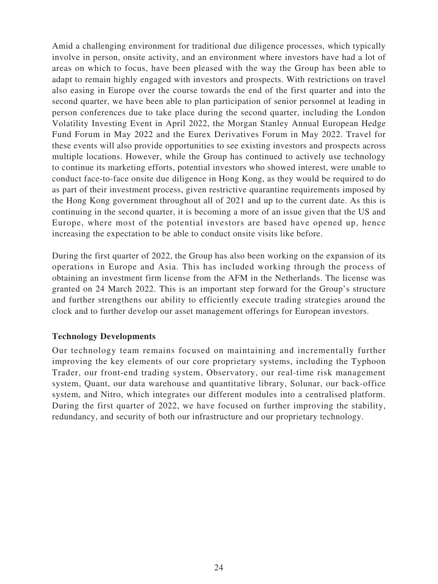Amid a challenging environment for traditional due diligence processes, which typically involve in person, onsite activity, and an environment where investors have had a lot of areas on which to focus, have been pleased with the way the Group has been able to adapt to remain highly engaged with investors and prospects. With restrictions on travel also easing in Europe over the course towards the end of the first quarter and into the second quarter, we have been able to plan participation of senior personnel at leading in person conferences due to take place during the second quarter, including the London Volatility Investing Event in April 2022, the Morgan Stanley Annual European Hedge Fund Forum in May 2022 and the Eurex Derivatives Forum in May 2022. Travel for these events will also provide opportunities to see existing investors and prospects across multiple locations. However, while the Group has continued to actively use technology to continue its marketing efforts, potential investors who showed interest, were unable to conduct face-to-face onsite due diligence in Hong Kong, as they would be required to do as part of their investment process, given restrictive quarantine requirements imposed by the Hong Kong government throughout all of 2021 and up to the current date. As this is continuing in the second quarter, it is becoming a more of an issue given that the US and Europe, where most of the potential investors are based have opened up, hence increasing the expectation to be able to conduct onsite visits like before.

During the first quarter of 2022, the Group has also been working on the expansion of its operations in Europe and Asia. This has included working through the process of obtaining an investment firm license from the AFM in the Netherlands. The license was granted on 24 March 2022. This is an important step forward for the Group's structure and further strengthens our ability to efficiently execute trading strategies around the clock and to further develop our asset management offerings for European investors.

### **Technology Developments**

Our technology team remains focused on maintaining and incrementally further improving the key elements of our core proprietary systems, including the Typhoon Trader, our front-end trading system, Observatory, our real-time risk management system, Quant, our data warehouse and quantitative library, Solunar, our back-office system, and Nitro, which integrates our different modules into a centralised platform. During the first quarter of 2022, we have focused on further improving the stability, redundancy, and security of both our infrastructure and our proprietary technology.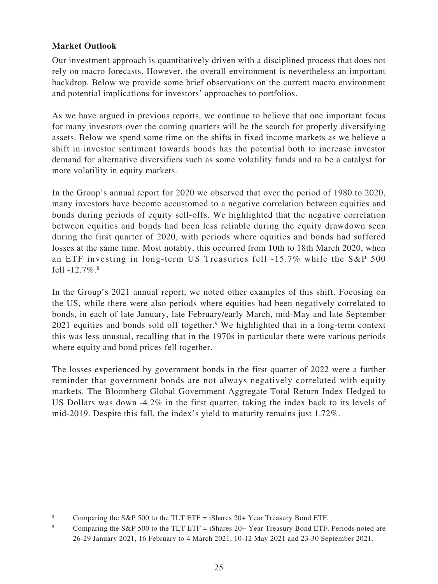# **Market Outlook**

Our investment approach is quantitatively driven with a disciplined process that does not rely on macro forecasts. However, the overall environment is nevertheless an important backdrop. Below we provide some brief observations on the current macro environment and potential implications for investors' approaches to portfolios.

As we have argued in previous reports, we continue to believe that one important focus for many investors over the coming quarters will be the search for properly diversifying assets. Below we spend some time on the shifts in fixed income markets as we believe a shift in investor sentiment towards bonds has the potential both to increase investor demand for alternative diversifiers such as some volatility funds and to be a catalyst for more volatility in equity markets.

In the Group's annual report for 2020 we observed that over the period of 1980 to 2020, many investors have become accustomed to a negative correlation between equities and bonds during periods of equity sell-offs. We highlighted that the negative correlation between equities and bonds had been less reliable during the equity drawdown seen during the first quarter of 2020, with periods where equities and bonds had suffered losses at the same time. Most notably, this occurred from 10th to 18th March 2020, when an ETF investing in long-term US Treasuries fell -15.7% while the S&P 500 fell  $-12.7\%$ .<sup>8</sup>

In the Group's 2021 annual report, we noted other examples of this shift. Focusing on the US, while there were also periods where equities had been negatively correlated to bonds, in each of late January, late February/early March, mid-May and late September 2021 equities and bonds sold off together.<sup>9</sup> We highlighted that in a long-term context this was less unusual, recalling that in the 1970s in particular there were various periods where equity and bond prices fell together.

The losses experienced by government bonds in the first quarter of 2022 were a further reminder that government bonds are not always negatively correlated with equity markets. The Bloomberg Global Government Aggregate Total Return Index Hedged to US Dollars was down  $-4.2\%$  in the first quarter, taking the index back to its levels of mid-2019. Despite this fall, the index's yield to maturity remains just 1.72%.

<sup>&</sup>lt;sup>8</sup> Comparing the S&P 500 to the TLT ETF = iShares 20+ Year Treasury Bond ETF.

<sup>&</sup>lt;sup>9</sup> Comparing the S&P 500 to the TLT ETF = iShares 20+ Year Treasury Bond ETF. Periods noted are 26-29 January 2021, 16 February to 4 March 2021, 10-12 May 2021 and 23-30 September 2021.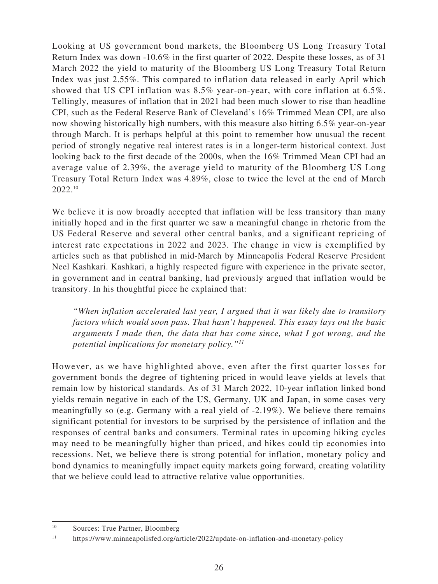Looking at US government bond markets, the Bloomberg US Long Treasury Total Return Index was down -10.6% in the first quarter of 2022. Despite these losses, as of 31 March 2022 the yield to maturity of the Bloomberg US Long Treasury Total Return Index was just 2.55%. This compared to inflation data released in early April which showed that US CPI inflation was 8.5% year-on-year, with core inflation at 6.5%. Tellingly, measures of inflation that in 2021 had been much slower to rise than headline CPI, such as the Federal Reserve Bank of Cleveland's 16% Trimmed Mean CPI, are also now showing historically high numbers, with this measure also hitting 6.5% year-on-year through March. It is perhaps helpful at this point to remember how unusual the recent period of strongly negative real interest rates is in a longer-term historical context. Just looking back to the first decade of the 2000s, when the 16% Trimmed Mean CPI had an average value of 2.39%, the average yield to maturity of the Bloomberg US Long Treasury Total Return Index was 4.89%, close to twice the level at the end of March 2022.10

We believe it is now broadly accepted that inflation will be less transitory than many initially hoped and in the first quarter we saw a meaningful change in rhetoric from the US Federal Reserve and several other central banks, and a significant repricing of interest rate expectations in 2022 and 2023. The change in view is exemplified by articles such as that published in mid-March by Minneapolis Federal Reserve President Neel Kashkari. Kashkari, a highly respected figure with experience in the private sector, in government and in central banking, had previously argued that inflation would be transitory. In his thoughtful piece he explained that:

*"When inflation accelerated last year, I argued that it was likely due to transitory factors which would soon pass. That hasn't happened. This essay lays out the basic arguments I made then, the data that has come since, what I got wrong, and the potential implications for monetary policy."11*

However, as we have highlighted above, even after the first quarter losses for government bonds the degree of tightening priced in would leave yields at levels that remain low by historical standards. As of 31 March 2022, 10-year inflation linked bond yields remain negative in each of the US, Germany, UK and Japan, in some cases very meaningfully so (e.g. Germany with a real yield of -2.19%). We believe there remains significant potential for investors to be surprised by the persistence of inflation and the responses of central banks and consumers. Terminal rates in upcoming hiking cycles may need to be meaningfully higher than priced, and hikes could tip economies into recessions. Net, we believe there is strong potential for inflation, monetary policy and bond dynamics to meaningfully impact equity markets going forward, creating volatility that we believe could lead to attractive relative value opportunities.

<sup>&</sup>lt;sup>10</sup> Sources: True Partner, Bloomberg

<sup>&</sup>lt;sup>11</sup> https://www.minneapolisfed.org/article/2022/update-on-inflation-and-monetary-policy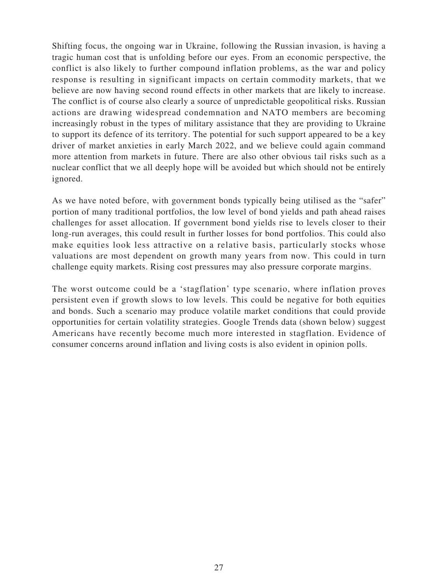Shifting focus, the ongoing war in Ukraine, following the Russian invasion, is having a tragic human cost that is unfolding before our eyes. From an economic perspective, the conflict is also likely to further compound inflation problems, as the war and policy response is resulting in significant impacts on certain commodity markets, that we believe are now having second round effects in other markets that are likely to increase. The conflict is of course also clearly a source of unpredictable geopolitical risks. Russian actions are drawing widespread condemnation and NATO members are becoming increasingly robust in the types of military assistance that they are providing to Ukraine to support its defence of its territory. The potential for such support appeared to be a key driver of market anxieties in early March 2022, and we believe could again command more attention from markets in future. There are also other obvious tail risks such as a nuclear conflict that we all deeply hope will be avoided but which should not be entirely ignored.

As we have noted before, with government bonds typically being utilised as the "safer" portion of many traditional portfolios, the low level of bond yields and path ahead raises challenges for asset allocation. If government bond yields rise to levels closer to their long-run averages, this could result in further losses for bond portfolios. This could also make equities look less attractive on a relative basis, particularly stocks whose valuations are most dependent on growth many years from now. This could in turn challenge equity markets. Rising cost pressures may also pressure corporate margins.

The worst outcome could be a 'stagflation' type scenario, where inflation proves persistent even if growth slows to low levels. This could be negative for both equities and bonds. Such a scenario may produce volatile market conditions that could provide opportunities for certain volatility strategies. Google Trends data (shown below) suggest Americans have recently become much more interested in stagflation. Evidence of consumer concerns around inflation and living costs is also evident in opinion polls.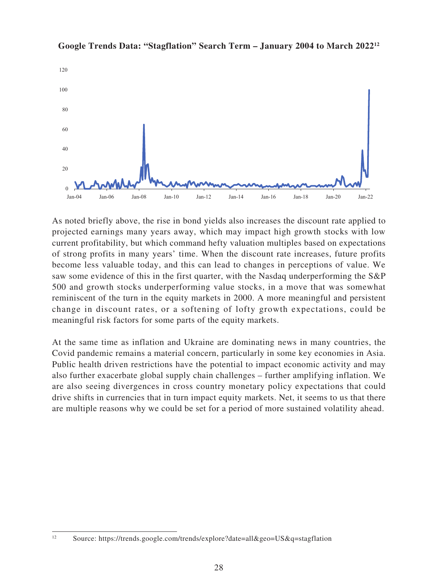

**Google Trends Data: "Stagflation" Search Term – January 2004 to March 202212**

As noted briefly above, the rise in bond yields also increases the discount rate applied to projected earnings many years away, which may impact high growth stocks with low current profitability, but which command hefty valuation multiples based on expectations of strong profits in many years' time. When the discount rate increases, future profits become less valuable today, and this can lead to changes in perceptions of value. We saw some evidence of this in the first quarter, with the Nasdaq underperforming the S&P 500 and growth stocks underperforming value stocks, in a move that was somewhat reminiscent of the turn in the equity markets in 2000. A more meaningful and persistent change in discount rates, or a softening of lofty growth expectations, could be meaningful risk factors for some parts of the equity markets.

At the same time as inflation and Ukraine are dominating news in many countries, the Covid pandemic remains a material concern, particularly in some key economies in Asia. Public health driven restrictions have the potential to impact economic activity and may also further exacerbate global supply chain challenges – further amplifying inflation. We are also seeing divergences in cross country monetary policy expectations that could drive shifts in currencies that in turn impact equity markets. Net, it seems to us that there are multiple reasons why we could be set for a period of more sustained volatility ahead.

<sup>12</sup> Source: https://trends.google.com/trends/explore?date=all&geo=US&q=stagflation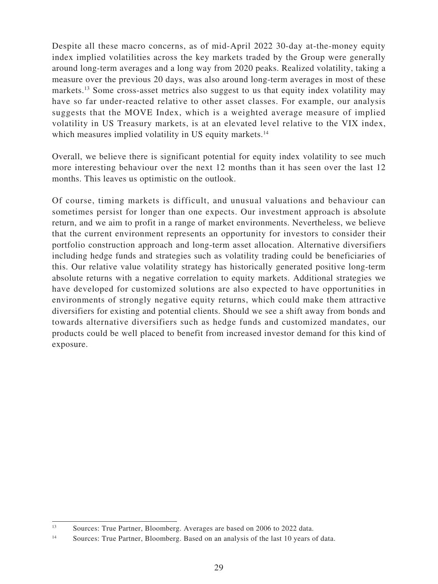Despite all these macro concerns, as of mid-April 2022 30-day at-the-money equity index implied volatilities across the key markets traded by the Group were generally around long-term averages and a long way from 2020 peaks. Realized volatility, taking a measure over the previous 20 days, was also around long-term averages in most of these markets.<sup>13</sup> Some cross-asset metrics also suggest to us that equity index volatility may have so far under-reacted relative to other asset classes. For example, our analysis suggests that the MOVE Index, which is a weighted average measure of implied volatility in US Treasury markets, is at an elevated level relative to the VIX index, which measures implied volatility in US equity markets.<sup>14</sup>

Overall, we believe there is significant potential for equity index volatility to see much more interesting behaviour over the next 12 months than it has seen over the last 12 months. This leaves us optimistic on the outlook.

Of course, timing markets is difficult, and unusual valuations and behaviour can sometimes persist for longer than one expects. Our investment approach is absolute return, and we aim to profit in a range of market environments. Nevertheless, we believe that the current environment represents an opportunity for investors to consider their portfolio construction approach and long-term asset allocation. Alternative diversifiers including hedge funds and strategies such as volatility trading could be beneficiaries of this. Our relative value volatility strategy has historically generated positive long-term absolute returns with a negative correlation to equity markets. Additional strategies we have developed for customized solutions are also expected to have opportunities in environments of strongly negative equity returns, which could make them attractive diversifiers for existing and potential clients. Should we see a shift away from bonds and towards alternative diversifiers such as hedge funds and customized mandates, our products could be well placed to benefit from increased investor demand for this kind of exposure.

<sup>&</sup>lt;sup>13</sup> Sources: True Partner, Bloomberg. Averages are based on 2006 to 2022 data.

<sup>&</sup>lt;sup>14</sup> Sources: True Partner, Bloomberg. Based on an analysis of the last 10 years of data.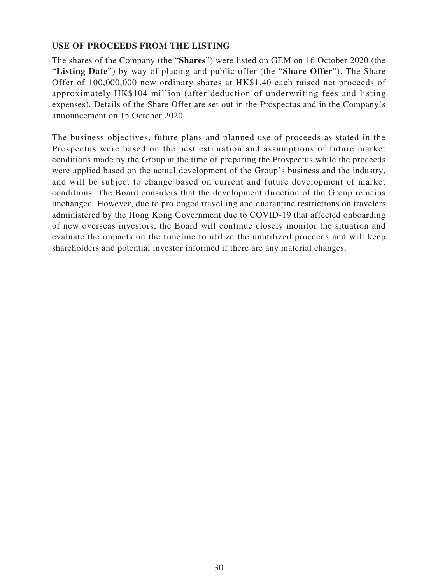### **USE OF PROCEEDS FROM THE LISTING**

The shares of the Company (the "**Shares**") were listed on GEM on 16 October 2020 (the "**Listing Date**") by way of placing and public offer (the "**Share Offer**"). The Share Offer of 100,000,000 new ordinary shares at HK\$1.40 each raised net proceeds of approximately HK\$104 million (after deduction of underwriting fees and listing expenses). Details of the Share Offer are set out in the Prospectus and in the Company's announcement on 15 October 2020.

The business objectives, future plans and planned use of proceeds as stated in the Prospectus were based on the best estimation and assumptions of future market conditions made by the Group at the time of preparing the Prospectus while the proceeds were applied based on the actual development of the Group's business and the industry, and will be subject to change based on current and future development of market conditions. The Board considers that the development direction of the Group remains unchanged. However, due to prolonged travelling and quarantine restrictions on travelers administered by the Hong Kong Government due to COVID-19 that affected onboarding of new overseas investors, the Board will continue closely monitor the situation and evaluate the impacts on the timeline to utilize the unutilized proceeds and will keep shareholders and potential investor informed if there are any material changes.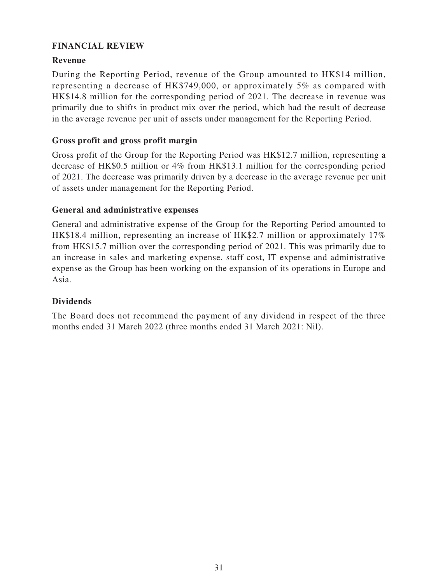### **FINANCIAL REVIEW**

### **Revenue**

During the Reporting Period, revenue of the Group amounted to HK\$14 million, representing a decrease of HK\$749,000, or approximately 5% as compared with HK\$14.8 million for the corresponding period of 2021. The decrease in revenue was primarily due to shifts in product mix over the period, which had the result of decrease in the average revenue per unit of assets under management for the Reporting Period.

### **Gross profit and gross profit margin**

Gross profit of the Group for the Reporting Period was HK\$12.7 million, representing a decrease of HK\$0.5 million or 4% from HK\$13.1 million for the corresponding period of 2021. The decrease was primarily driven by a decrease in the average revenue per unit of assets under management for the Reporting Period.

### **General and administrative expenses**

General and administrative expense of the Group for the Reporting Period amounted to HK\$18.4 million, representing an increase of HK\$2.7 million or approximately 17% from HK\$15.7 million over the corresponding period of 2021. This was primarily due to an increase in sales and marketing expense, staff cost, IT expense and administrative expense as the Group has been working on the expansion of its operations in Europe and Asia.

### **Dividends**

The Board does not recommend the payment of any dividend in respect of the three months ended 31 March 2022 (three months ended 31 March 2021: Nil).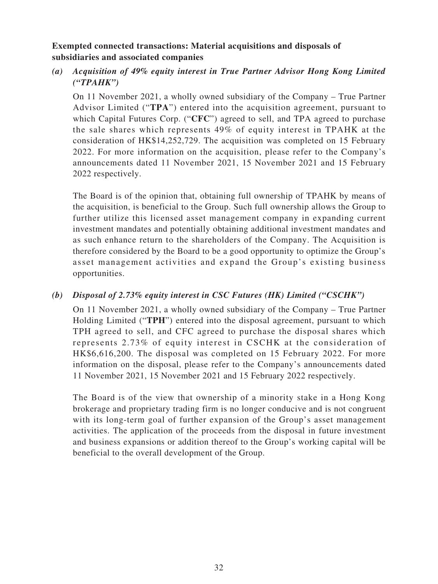### **Exempted connected transactions: Material acquisitions and disposals of subsidiaries and associated companies**

# *(a) Acquisition of 49% equity interest in True Partner Advisor Hong Kong Limited ("TPAHK")*

On 11 November 2021, a wholly owned subsidiary of the Company – True Partner Advisor Limited ("**TPA**") entered into the acquisition agreement, pursuant to which Capital Futures Corp. ("**CFC**") agreed to sell, and TPA agreed to purchase the sale shares which represents 49% of equity interest in TPAHK at the consideration of HK\$14,252,729. The acquisition was completed on 15 February 2022. For more information on the acquisition, please refer to the Company's announcements dated 11 November 2021, 15 November 2021 and 15 February 2022 respectively.

The Board is of the opinion that, obtaining full ownership of TPAHK by means of the acquisition, is beneficial to the Group. Such full ownership allows the Group to further utilize this licensed asset management company in expanding current investment mandates and potentially obtaining additional investment mandates and as such enhance return to the shareholders of the Company. The Acquisition is therefore considered by the Board to be a good opportunity to optimize the Group's asset management activities and expand the Group's existing business opportunities.

# *(b) Disposal of 2.73% equity interest in CSC Futures (HK) Limited ("CSCHK")*

On 11 November 2021, a wholly owned subsidiary of the Company – True Partner Holding Limited ("**TPH**") entered into the disposal agreement, pursuant to which TPH agreed to sell, and CFC agreed to purchase the disposal shares which represents 2.73% of equity interest in CSCHK at the consideration of HK\$6,616,200. The disposal was completed on 15 February 2022. For more information on the disposal, please refer to the Company's announcements dated 11 November 2021, 15 November 2021 and 15 February 2022 respectively.

The Board is of the view that ownership of a minority stake in a Hong Kong brokerage and proprietary trading firm is no longer conducive and is not congruent with its long-term goal of further expansion of the Group's asset management activities. The application of the proceeds from the disposal in future investment and business expansions or addition thereof to the Group's working capital will be beneficial to the overall development of the Group.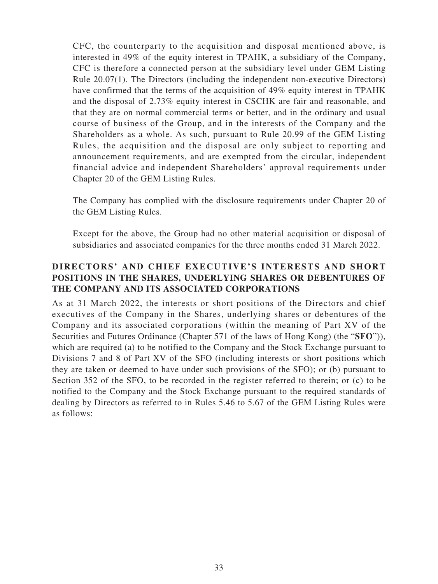CFC, the counterparty to the acquisition and disposal mentioned above, is interested in 49% of the equity interest in TPAHK, a subsidiary of the Company, CFC is therefore a connected person at the subsidiary level under GEM Listing Rule 20.07(1). The Directors (including the independent non-executive Directors) have confirmed that the terms of the acquisition of 49% equity interest in TPAHK and the disposal of 2.73% equity interest in CSCHK are fair and reasonable, and that they are on normal commercial terms or better, and in the ordinary and usual course of business of the Group, and in the interests of the Company and the Shareholders as a whole. As such, pursuant to Rule 20.99 of the GEM Listing Rules, the acquisition and the disposal are only subject to reporting and announcement requirements, and are exempted from the circular, independent financial advice and independent Shareholders' approval requirements under Chapter 20 of the GEM Listing Rules.

The Company has complied with the disclosure requirements under Chapter 20 of the GEM Listing Rules.

Except for the above, the Group had no other material acquisition or disposal of subsidiaries and associated companies for the three months ended 31 March 2022.

# **DIRECTORS' AND CHIEF EXECUTIVE'S INTERESTS AND SHORT POSITIONS IN THE SHARES, UNDERLYING SHARES OR DEBENTURES OF THE COMPANY AND ITS ASSOCIATED CORPORATIONS**

As at 31 March 2022, the interests or short positions of the Directors and chief executives of the Company in the Shares, underlying shares or debentures of the Company and its associated corporations (within the meaning of Part XV of the Securities and Futures Ordinance (Chapter 571 of the laws of Hong Kong) (the "**SFO**")), which are required (a) to be notified to the Company and the Stock Exchange pursuant to Divisions 7 and 8 of Part XV of the SFO (including interests or short positions which they are taken or deemed to have under such provisions of the SFO); or (b) pursuant to Section 352 of the SFO, to be recorded in the register referred to therein; or (c) to be notified to the Company and the Stock Exchange pursuant to the required standards of dealing by Directors as referred to in Rules 5.46 to 5.67 of the GEM Listing Rules were as follows: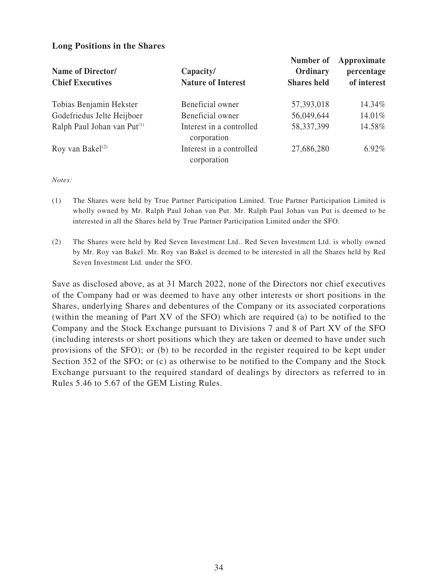#### **Long Positions in the Shares**

| Name of Director/<br><b>Chief Executives</b> | Capacity/<br><b>Nature of Interest</b>  | Number of<br>Ordinary<br><b>Shares</b> held | Approximate<br>percentage<br>of interest |
|----------------------------------------------|-----------------------------------------|---------------------------------------------|------------------------------------------|
| Tobias Benjamin Hekster                      | Beneficial owner                        | 57,393,018                                  | 14.34%                                   |
| Godefriedus Jelte Heijboer                   | Beneficial owner                        | 56,049,644                                  | 14.01%                                   |
| Ralph Paul Johan van Put <sup>(1)</sup>      | Interest in a controlled<br>corporation | 58,337,399                                  | 14.58%                                   |
| Roy van Bakel $(2)$                          | Interest in a controlled<br>corporation | 27,686,280                                  | $6.92\%$                                 |

*Notes:*

- (1) The Shares were held by True Partner Participation Limited. True Partner Participation Limited is wholly owned by Mr. Ralph Paul Johan van Put. Mr. Ralph Paul Johan van Put is deemed to be interested in all the Shares held by True Partner Participation Limited under the SFO.
- (2) The Shares were held by Red Seven Investment Ltd.. Red Seven Investment Ltd. is wholly owned by Mr. Roy van Bakel. Mr. Roy van Bakel is deemed to be interested in all the Shares held by Red Seven Investment Ltd. under the SFO.

Save as disclosed above, as at 31 March 2022, none of the Directors nor chief executives of the Company had or was deemed to have any other interests or short positions in the Shares, underlying Shares and debentures of the Company or its associated corporations (within the meaning of Part XV of the SFO) which are required (a) to be notified to the Company and the Stock Exchange pursuant to Divisions 7 and 8 of Part XV of the SFO (including interests or short positions which they are taken or deemed to have under such provisions of the SFO); or (b) to be recorded in the register required to be kept under Section 352 of the SFO; or (c) as otherwise to be notified to the Company and the Stock Exchange pursuant to the required standard of dealings by directors as referred to in Rules 5.46 to 5.67 of the GEM Listing Rules.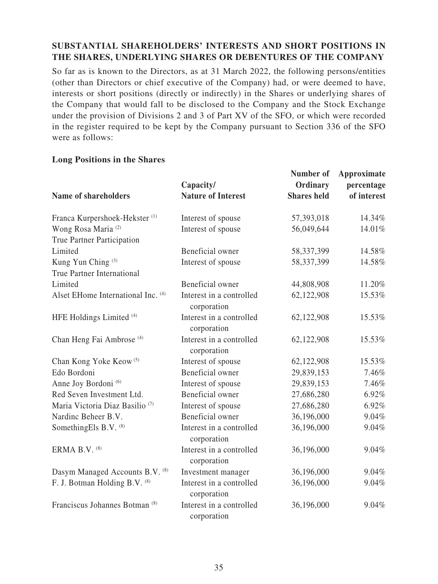# **SUBSTANTIAL SHAREHOLDERS' INTERESTS AND SHORT POSITIONS IN THE SHARES, UNDERLYING SHARES OR DEBENTURES OF THE COMPANY**

So far as is known to the Directors, as at 31 March 2022, the following persons/entities (other than Directors or chief executive of the Company) had, or were deemed to have, interests or short positions (directly or indirectly) in the Shares or underlying shares of the Company that would fall to be disclosed to the Company and the Stock Exchange under the provision of Divisions 2 and 3 of Part XV of the SFO, or which were recorded in the register required to be kept by the Company pursuant to Section 336 of the SFO were as follows:

#### **Long Positions in the Shares**

|                                                                    | Capacity/                               | Number of<br>Ordinary | Approximate<br>percentage |
|--------------------------------------------------------------------|-----------------------------------------|-----------------------|---------------------------|
| Name of shareholders                                               | <b>Nature of Interest</b>               | <b>Shares held</b>    | of interest               |
| Franca Kurpershoek-Hekster <sup>(1)</sup>                          | Interest of spouse                      | 57,393,018            | 14.34%                    |
| Wong Rosa Maria <sup>(2)</sup><br>True Partner Participation       | Interest of spouse                      | 56,049,644            | 14.01%                    |
| Limited                                                            | Beneficial owner                        | 58,337,399            | 14.58%                    |
| Kung Yun Ching <sup>(3)</sup><br><b>True Partner International</b> | Interest of spouse                      | 58,337,399            | 14.58%                    |
| Limited                                                            | Beneficial owner                        | 44,808,908            | 11.20%                    |
| Alset EHome International Inc. (4)                                 | Interest in a controlled<br>corporation | 62,122,908            | 15.53%                    |
| HFE Holdings Limited <sup>(4)</sup>                                | Interest in a controlled<br>corporation | 62,122,908            | 15.53%                    |
| Chan Heng Fai Ambrose <sup>(4)</sup>                               | Interest in a controlled<br>corporation | 62,122,908            | 15.53%                    |
| Chan Kong Yoke Keow <sup>(5)</sup>                                 | Interest of spouse                      | 62,122,908            | 15.53%                    |
| Edo Bordoni                                                        | Beneficial owner                        | 29,839,153            | 7.46%                     |
| Anne Joy Bordoni <sup>(6)</sup>                                    | Interest of spouse                      | 29,839,153            | 7.46%                     |
| Red Seven Investment Ltd.                                          | Beneficial owner                        | 27,686,280            | 6.92%                     |
| Maria Victoria Diaz Basilio <sup>(7)</sup>                         | Interest of spouse                      | 27,686,280            | 6.92%                     |
| Nardinc Beheer B.V.                                                | Beneficial owner                        | 36,196,000            | 9.04%                     |
| SomethingEls B.V. (8)                                              | Interest in a controlled<br>corporation | 36,196,000            | 9.04%                     |
| ERMA B.V. (8)                                                      | Interest in a controlled<br>corporation | 36,196,000            | 9.04%                     |
| Dasym Managed Accounts B.V. (8)                                    | Investment manager                      | 36,196,000            | 9.04%                     |
| F. J. Botman Holding B.V. (8)                                      | Interest in a controlled<br>corporation | 36,196,000            | 9.04%                     |
| Franciscus Johannes Botman <sup>(8)</sup>                          | Interest in a controlled<br>corporation | 36,196,000            | 9.04%                     |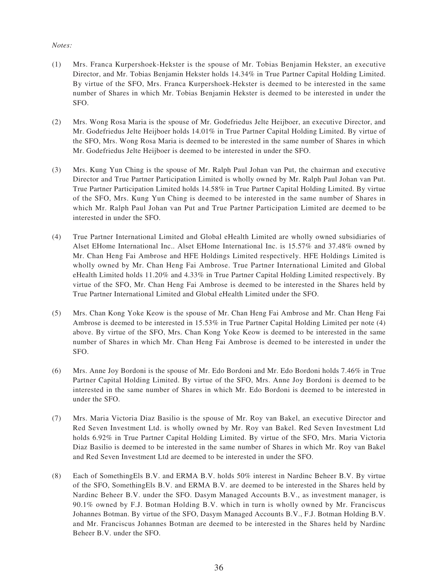#### *Notes:*

- (1) Mrs. Franca Kurpershoek-Hekster is the spouse of Mr. Tobias Benjamin Hekster, an executive Director, and Mr. Tobias Benjamin Hekster holds 14.34% in True Partner Capital Holding Limited. By virtue of the SFO, Mrs. Franca Kurpershoek-Hekster is deemed to be interested in the same number of Shares in which Mr. Tobias Benjamin Hekster is deemed to be interested in under the SFO.
- (2) Mrs. Wong Rosa Maria is the spouse of Mr. Godefriedus Jelte Heijboer, an executive Director, and Mr. Godefriedus Jelte Heijboer holds 14.01% in True Partner Capital Holding Limited. By virtue of the SFO, Mrs. Wong Rosa Maria is deemed to be interested in the same number of Shares in which Mr. Godefriedus Jelte Heijboer is deemed to be interested in under the SFO.
- (3) Mrs. Kung Yun Ching is the spouse of Mr. Ralph Paul Johan van Put, the chairman and executive Director and True Partner Participation Limited is wholly owned by Mr. Ralph Paul Johan van Put. True Partner Participation Limited holds 14.58% in True Partner Capital Holding Limited. By virtue of the SFO, Mrs. Kung Yun Ching is deemed to be interested in the same number of Shares in which Mr. Ralph Paul Johan van Put and True Partner Participation Limited are deemed to be interested in under the SFO.
- (4) True Partner International Limited and Global eHealth Limited are wholly owned subsidiaries of Alset EHome International Inc.. Alset EHome International Inc. is 15.57% and 37.48% owned by Mr. Chan Heng Fai Ambrose and HFE Holdings Limited respectively. HFE Holdings Limited is wholly owned by Mr. Chan Heng Fai Ambrose. True Partner International Limited and Global eHealth Limited holds 11.20% and 4.33% in True Partner Capital Holding Limited respectively. By virtue of the SFO, Mr. Chan Heng Fai Ambrose is deemed to be interested in the Shares held by True Partner International Limited and Global eHealth Limited under the SFO.
- (5) Mrs. Chan Kong Yoke Keow is the spouse of Mr. Chan Heng Fai Ambrose and Mr. Chan Heng Fai Ambrose is deemed to be interested in 15.53% in True Partner Capital Holding Limited per note (4) above. By virtue of the SFO, Mrs. Chan Kong Yoke Keow is deemed to be interested in the same number of Shares in which Mr. Chan Heng Fai Ambrose is deemed to be interested in under the SFO.
- (6) Mrs. Anne Joy Bordoni is the spouse of Mr. Edo Bordoni and Mr. Edo Bordoni holds 7.46% in True Partner Capital Holding Limited. By virtue of the SFO, Mrs. Anne Joy Bordoni is deemed to be interested in the same number of Shares in which Mr. Edo Bordoni is deemed to be interested in under the SFO.
- (7) Mrs. Maria Victoria Diaz Basilio is the spouse of Mr. Roy van Bakel, an executive Director and Red Seven Investment Ltd. is wholly owned by Mr. Roy van Bakel. Red Seven Investment Ltd holds 6.92% in True Partner Capital Holding Limited. By virtue of the SFO, Mrs. Maria Victoria Diaz Basilio is deemed to be interested in the same number of Shares in which Mr. Roy van Bakel and Red Seven Investment Ltd are deemed to be interested in under the SFO.
- (8) Each of SomethingEls B.V. and ERMA B.V. holds 50% interest in Nardinc Beheer B.V. By virtue of the SFO, SomethingEls B.V. and ERMA B.V. are deemed to be interested in the Shares held by Nardinc Beheer B.V. under the SFO. Dasym Managed Accounts B.V., as investment manager, is 90.1% owned by F.J. Botman Holding B.V. which in turn is wholly owned by Mr. Franciscus Johannes Botman. By virtue of the SFO, Dasym Managed Accounts B.V., F.J. Botman Holding B.V. and Mr. Franciscus Johannes Botman are deemed to be interested in the Shares held by Nardinc Beheer B.V. under the SFO.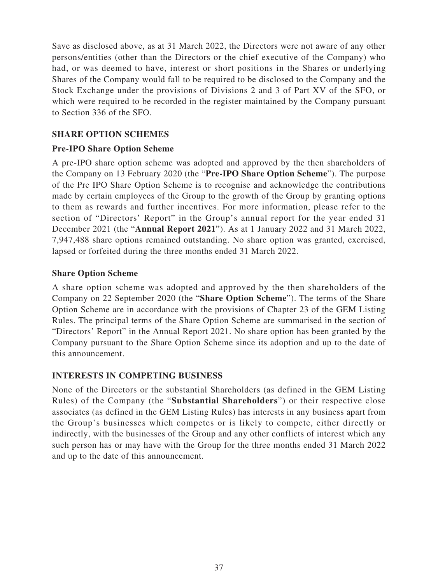Save as disclosed above, as at 31 March 2022, the Directors were not aware of any other persons/entities (other than the Directors or the chief executive of the Company) who had, or was deemed to have, interest or short positions in the Shares or underlying Shares of the Company would fall to be required to be disclosed to the Company and the Stock Exchange under the provisions of Divisions 2 and 3 of Part XV of the SFO, or which were required to be recorded in the register maintained by the Company pursuant to Section 336 of the SFO.

### **SHARE OPTION SCHEMES**

# **Pre-IPO Share Option Scheme**

A pre-IPO share option scheme was adopted and approved by the then shareholders of the Company on 13 February 2020 (the "**Pre-IPO Share Option Scheme**"). The purpose of the Pre IPO Share Option Scheme is to recognise and acknowledge the contributions made by certain employees of the Group to the growth of the Group by granting options to them as rewards and further incentives. For more information, please refer to the section of "Directors' Report" in the Group's annual report for the year ended 31 December 2021 (the "**Annual Report 2021**"). As at 1 January 2022 and 31 March 2022, 7,947,488 share options remained outstanding. No share option was granted, exercised, lapsed or forfeited during the three months ended 31 March 2022.

# **Share Option Scheme**

A share option scheme was adopted and approved by the then shareholders of the Company on 22 September 2020 (the "**Share Option Scheme**"). The terms of the Share Option Scheme are in accordance with the provisions of Chapter 23 of the GEM Listing Rules. The principal terms of the Share Option Scheme are summarised in the section of "Directors' Report" in the Annual Report 2021. No share option has been granted by the Company pursuant to the Share Option Scheme since its adoption and up to the date of this announcement.

# **INTERESTS IN COMPETING BUSINESS**

None of the Directors or the substantial Shareholders (as defined in the GEM Listing Rules) of the Company (the "**Substantial Shareholders**") or their respective close associates (as defined in the GEM Listing Rules) has interests in any business apart from the Group's businesses which competes or is likely to compete, either directly or indirectly, with the businesses of the Group and any other conflicts of interest which any such person has or may have with the Group for the three months ended 31 March 2022 and up to the date of this announcement.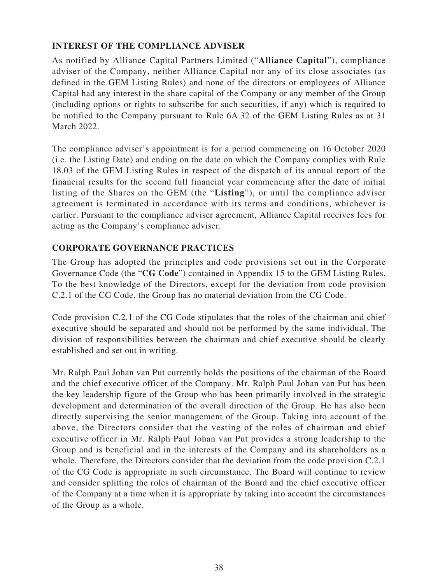# **INTEREST OF THE COMPLIANCE ADVISER**

As notified by Alliance Capital Partners Limited ("**Alliance Capital**"), compliance adviser of the Company, neither Alliance Capital nor any of its close associates (as defined in the GEM Listing Rules) and none of the directors or employees of Alliance Capital had any interest in the share capital of the Company or any member of the Group (including options or rights to subscribe for such securities, if any) which is required to be notified to the Company pursuant to Rule 6A.32 of the GEM Listing Rules as at 31 March 2022.

The compliance adviser's appointment is for a period commencing on 16 October 2020 (i.e. the Listing Date) and ending on the date on which the Company complies with Rule 18.03 of the GEM Listing Rules in respect of the dispatch of its annual report of the financial results for the second full financial year commencing after the date of initial listing of the Shares on the GEM (the "**Listing**"), or until the compliance adviser agreement is terminated in accordance with its terms and conditions, whichever is earlier. Pursuant to the compliance adviser agreement, Alliance Capital receives fees for acting as the Company's compliance adviser.

# **CORPORATE GOVERNANCE PRACTICES**

The Group has adopted the principles and code provisions set out in the Corporate Governance Code (the "**CG Code**") contained in Appendix 15 to the GEM Listing Rules. To the best knowledge of the Directors, except for the deviation from code provision C.2.1 of the CG Code, the Group has no material deviation from the CG Code.

Code provision C.2.1 of the CG Code stipulates that the roles of the chairman and chief executive should be separated and should not be performed by the same individual. The division of responsibilities between the chairman and chief executive should be clearly established and set out in writing.

Mr. Ralph Paul Johan van Put currently holds the positions of the chairman of the Board and the chief executive officer of the Company. Mr. Ralph Paul Johan van Put has been the key leadership figure of the Group who has been primarily involved in the strategic development and determination of the overall direction of the Group. He has also been directly supervising the senior management of the Group. Taking into account of the above, the Directors consider that the vesting of the roles of chairman and chief executive officer in Mr. Ralph Paul Johan van Put provides a strong leadership to the Group and is beneficial and in the interests of the Company and its shareholders as a whole. Therefore, the Directors consider that the deviation from the code provision C.2.1 of the CG Code is appropriate in such circumstance. The Board will continue to review and consider splitting the roles of chairman of the Board and the chief executive officer of the Company at a time when it is appropriate by taking into account the circumstances of the Group as a whole.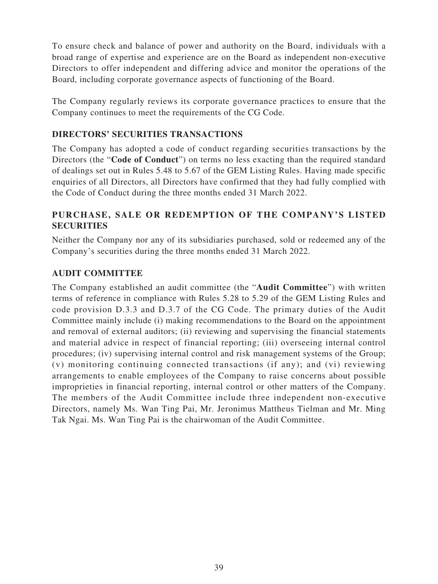To ensure check and balance of power and authority on the Board, individuals with a broad range of expertise and experience are on the Board as independent non-executive Directors to offer independent and differing advice and monitor the operations of the Board, including corporate governance aspects of functioning of the Board.

The Company regularly reviews its corporate governance practices to ensure that the Company continues to meet the requirements of the CG Code.

# **DIRECTORS' SECURITIES TRANSACTIONS**

The Company has adopted a code of conduct regarding securities transactions by the Directors (the "**Code of Conduct**") on terms no less exacting than the required standard of dealings set out in Rules 5.48 to 5.67 of the GEM Listing Rules. Having made specific enquiries of all Directors, all Directors have confirmed that they had fully complied with the Code of Conduct during the three months ended 31 March 2022.

# **PURCHASE, SALE OR REDEMPTION OF THE COMPANY'S LISTED SECURITIES**

Neither the Company nor any of its subsidiaries purchased, sold or redeemed any of the Company's securities during the three months ended 31 March 2022.

### **AUDIT COMMITTEE**

The Company established an audit committee (the "**Audit Committee**") with written terms of reference in compliance with Rules 5.28 to 5.29 of the GEM Listing Rules and code provision D.3.3 and D.3.7 of the CG Code. The primary duties of the Audit Committee mainly include (i) making recommendations to the Board on the appointment and removal of external auditors; (ii) reviewing and supervising the financial statements and material advice in respect of financial reporting; (iii) overseeing internal control procedures; (iv) supervising internal control and risk management systems of the Group; (v) monitoring continuing connected transactions (if any); and (vi) reviewing arrangements to enable employees of the Company to raise concerns about possible improprieties in financial reporting, internal control or other matters of the Company. The members of the Audit Committee include three independent non-executive Directors, namely Ms. Wan Ting Pai, Mr. Jeronimus Mattheus Tielman and Mr. Ming Tak Ngai. Ms. Wan Ting Pai is the chairwoman of the Audit Committee.